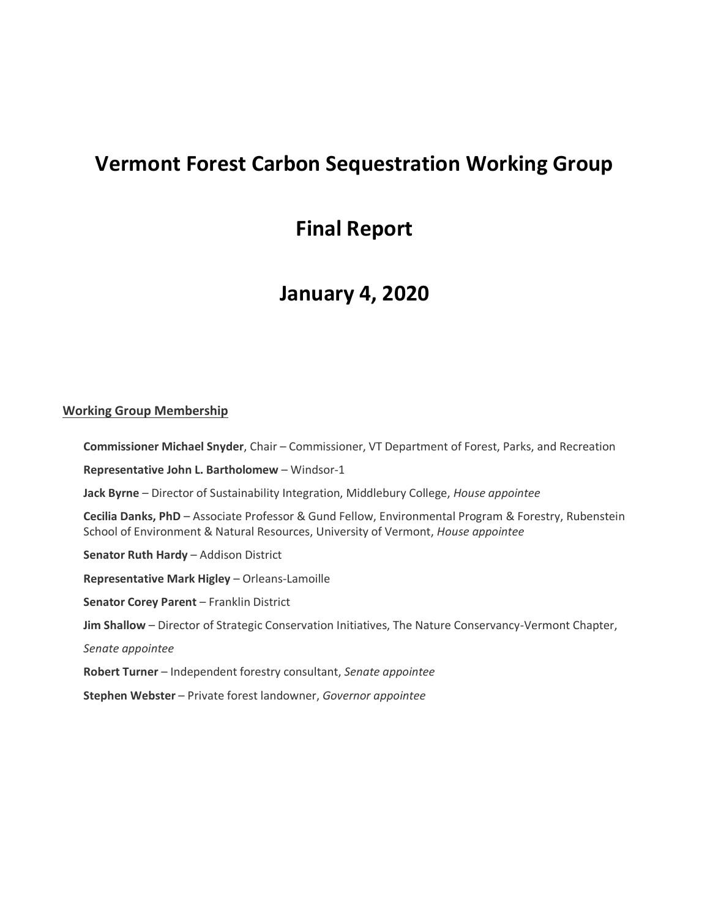# **Vermont Forest Carbon Sequestration Working Group**

# **Final Report**

# **January 4, 2020**

#### **Working Group Membership**

**Commissioner Michael Snyder**, Chair – Commissioner, VT Department of Forest, Parks, and Recreation

**Representative John L. Bartholomew** – Windsor-1

**Jack Byrne** – Director of Sustainability Integration, Middlebury College, *House appointee*

**Cecilia Danks, PhD** – Associate Professor & Gund Fellow, Environmental Program & Forestry, Rubenstein School of Environment & Natural Resources, University of Vermont, *House appointee*

**Senator Ruth Hardy** – Addison District

**Representative Mark Higley** – Orleans-Lamoille

**Senator Corey Parent** – Franklin District

**Jim Shallow** – Director of Strategic Conservation Initiatives, The Nature Conservancy-Vermont Chapter,

*Senate appointee*

**Robert Turner** – Independent forestry consultant, *Senate appointee*

**Stephen Webster** – Private forest landowner, *Governor appointee*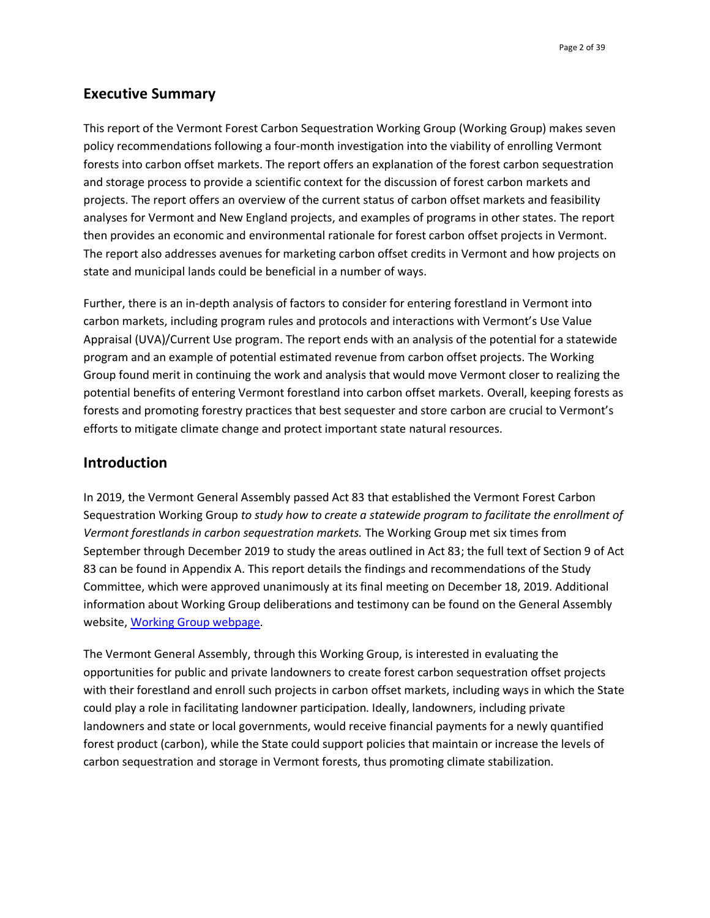## **Executive Summary**

This report of the Vermont Forest Carbon Sequestration Working Group (Working Group) makes seven policy recommendations following a four-month investigation into the viability of enrolling Vermont forests into carbon offset markets. The report offers an explanation of the forest carbon sequestration and storage process to provide a scientific context for the discussion of forest carbon markets and projects. The report offers an overview of the current status of carbon offset markets and feasibility analyses for Vermont and New England projects, and examples of programs in other states. The report then provides an economic and environmental rationale for forest carbon offset projects in Vermont. The report also addresses avenues for marketing carbon offset credits in Vermont and how projects on state and municipal lands could be beneficial in a number of ways.

Further, there is an in-depth analysis of factors to consider for entering forestland in Vermont into carbon markets, including program rules and protocols and interactions with Vermont's Use Value Appraisal (UVA)/Current Use program. The report ends with an analysis of the potential for a statewide program and an example of potential estimated revenue from carbon offset projects. The Working Group found merit in continuing the work and analysis that would move Vermont closer to realizing the potential benefits of entering Vermont forestland into carbon offset markets. Overall, keeping forests as forests and promoting forestry practices that best sequester and store carbon are crucial to Vermont's efforts to mitigate climate change and protect important state natural resources.

### **Introduction**

In 2019, the Vermont General Assembly passed Act 83 that established the Vermont Forest Carbon Sequestration Working Group *to study how to create a statewide program to facilitate the enrollment of Vermont forestlands in carbon sequestration markets.* The Working Group met six times from September through December 2019 to study the areas outlined in Act 83; the full text of Section 9 of Act 83 can be found in Appendix A. This report details the findings and recommendations of the Study Committee, which were approved unanimously at its final meeting on December 18, 2019. Additional information about Working Group deliberations and testimony can be found on the General Assembly website[, Working Group webpage.](https://legislature.vermont.gov/committee/detail/2020/357)

The Vermont General Assembly, through this Working Group, is interested in evaluating the opportunities for public and private landowners to create forest carbon sequestration offset projects with their forestland and enroll such projects in carbon offset markets, including ways in which the State could play a role in facilitating landowner participation. Ideally, landowners, including private landowners and state or local governments, would receive financial payments for a newly quantified forest product (carbon), while the State could support policies that maintain or increase the levels of carbon sequestration and storage in Vermont forests, thus promoting climate stabilization.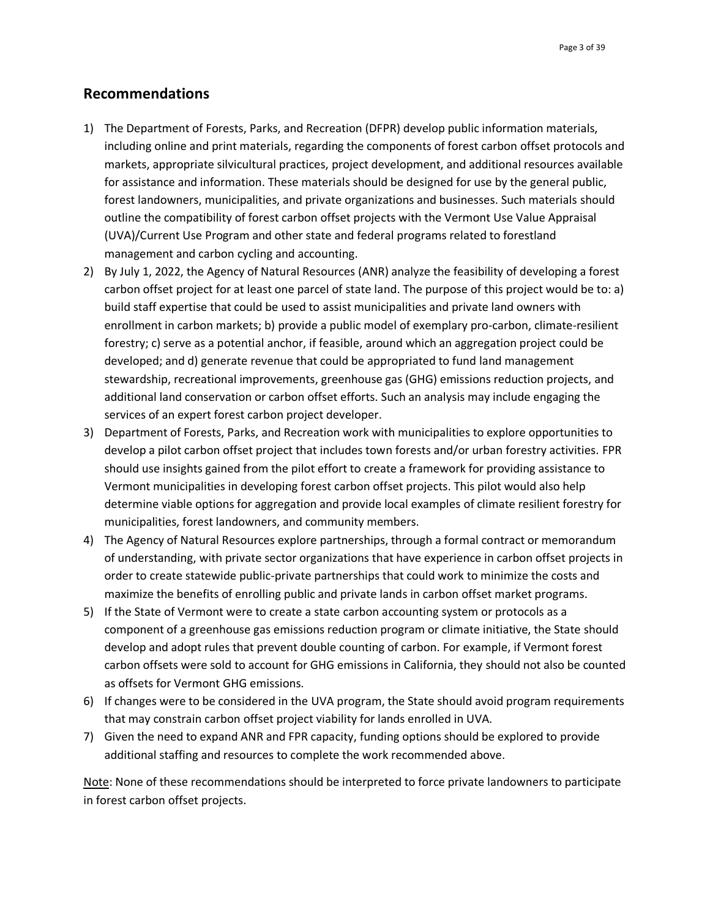## **Recommendations**

- 1) The Department of Forests, Parks, and Recreation (DFPR) develop public information materials, including online and print materials, regarding the components of forest carbon offset protocols and markets, appropriate silvicultural practices, project development, and additional resources available for assistance and information. These materials should be designed for use by the general public, forest landowners, municipalities, and private organizations and businesses. Such materials should outline the compatibility of forest carbon offset projects with the Vermont Use Value Appraisal (UVA)/Current Use Program and other state and federal programs related to forestland management and carbon cycling and accounting.
- 2) By July 1, 2022, the Agency of Natural Resources (ANR) analyze the feasibility of developing a forest carbon offset project for at least one parcel of state land. The purpose of this project would be to: a) build staff expertise that could be used to assist municipalities and private land owners with enrollment in carbon markets; b) provide a public model of exemplary pro-carbon, climate-resilient forestry; c) serve as a potential anchor, if feasible, around which an aggregation project could be developed; and d) generate revenue that could be appropriated to fund land management stewardship, recreational improvements, greenhouse gas (GHG) emissions reduction projects, and additional land conservation or carbon offset efforts. Such an analysis may include engaging the services of an expert forest carbon project developer.
- 3) Department of Forests, Parks, and Recreation work with municipalities to explore opportunities to develop a pilot carbon offset project that includes town forests and/or urban forestry activities. FPR should use insights gained from the pilot effort to create a framework for providing assistance to Vermont municipalities in developing forest carbon offset projects. This pilot would also help determine viable options for aggregation and provide local examples of climate resilient forestry for municipalities, forest landowners, and community members.
- 4) The Agency of Natural Resources explore partnerships, through a formal contract or memorandum of understanding, with private sector organizations that have experience in carbon offset projects in order to create statewide public-private partnerships that could work to minimize the costs and maximize the benefits of enrolling public and private lands in carbon offset market programs.
- 5) If the State of Vermont were to create a state carbon accounting system or protocols as a component of a greenhouse gas emissions reduction program or climate initiative, the State should develop and adopt rules that prevent double counting of carbon. For example, if Vermont forest carbon offsets were sold to account for GHG emissions in California, they should not also be counted as offsets for Vermont GHG emissions.
- 6) If changes were to be considered in the UVA program, the State should avoid program requirements that may constrain carbon offset project viability for lands enrolled in UVA.
- 7) Given the need to expand ANR and FPR capacity, funding options should be explored to provide additional staffing and resources to complete the work recommended above.

Note: None of these recommendations should be interpreted to force private landowners to participate in forest carbon offset projects.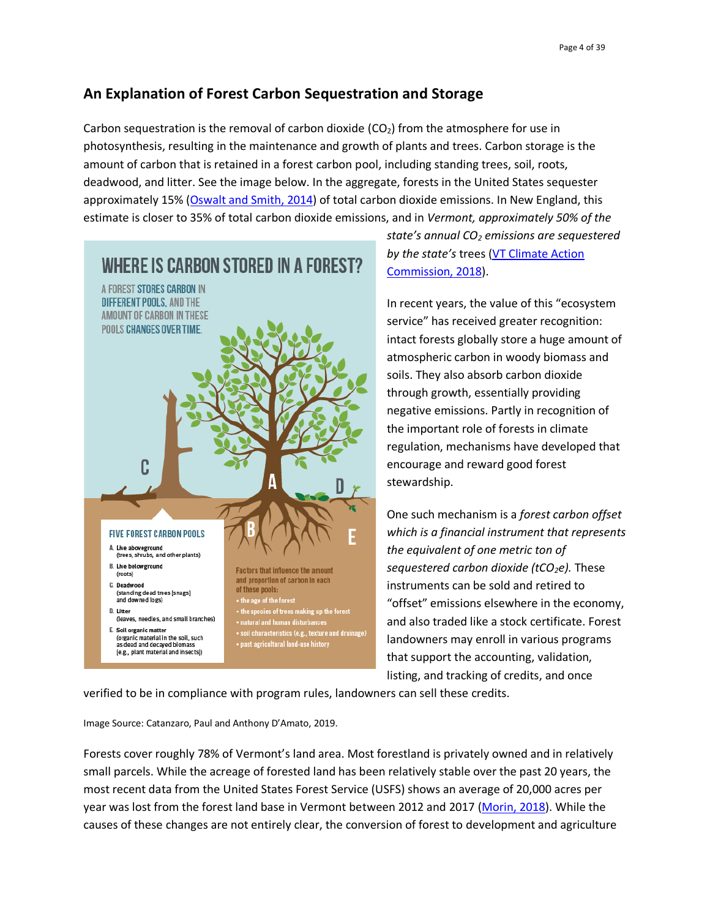# **An Explanation of Forest Carbon Sequestration and Storage**

Carbon sequestration is the removal of carbon dioxide  $(CO<sub>2</sub>)$  from the atmosphere for use in photosynthesis, resulting in the maintenance and growth of plants and trees. Carbon storage is the amount of carbon that is retained in a forest carbon pool, including standing trees, soil, roots, deadwood, and litter. See the image below. In the aggregate, forests in the United States sequester approximately 15% [\(Oswalt and Smith, 2014\)](https://www.fia.fs.fed.us/library/brochures/docs/2012/ForestFacts_1952-2012_English.pdf) of total carbon dioxide emissions. In New England, this estimate is closer to 35% of total carbon dioxide emissions, and in *Vermont, approximately 50% of the* 



*state's annual CO<sup>2</sup> emissions are sequestered by the state's* trees [\(VT Climate Action](https://anr.vermont.gov/sites/anr/files/Final%20VCAC%20Report.pdf)  [Commission, 2018\)](https://anr.vermont.gov/sites/anr/files/Final%20VCAC%20Report.pdf).

In recent years, the value of this "ecosystem service" has received greater recognition: intact forests globally store a huge amount of atmospheric carbon in woody biomass and soils. They also absorb carbon dioxide through growth, essentially providing negative emissions. Partly in recognition of the important role of forests in climate regulation, mechanisms have developed that encourage and reward good forest stewardship.

One such mechanism is a *forest carbon offset which is a financial instrument that represents the equivalent of one metric ton of sequestered carbon dioxide (tCO2e).* These instruments can be sold and retired to "offset" emissions elsewhere in the economy, and also traded like a stock certificate. Forest landowners may enroll in various programs that support the accounting, validation, listing, and tracking of credits, and once

verified to be in compliance with program rules, landowners can sell these credits.

Image Source: Catanzaro, Paul and Anthony D'Amato, 2019.

Forests cover roughly 78% of Vermont's land area. Most forestland is privately owned and in relatively small parcels. While the acreage of forested land has been relatively stable over the past 20 years, the most recent data from the United States Forest Service (USFS) shows an average of 20,000 acres per year was lost from the forest land base in Vermont between 2012 and 2017 [\(Morin, 2018\)](https://fpr.vermont.gov/sites/fpr/files/documents/2017_FIA%20report_VT.pdf). While the causes of these changes are not entirely clear, the conversion of forest to development and agriculture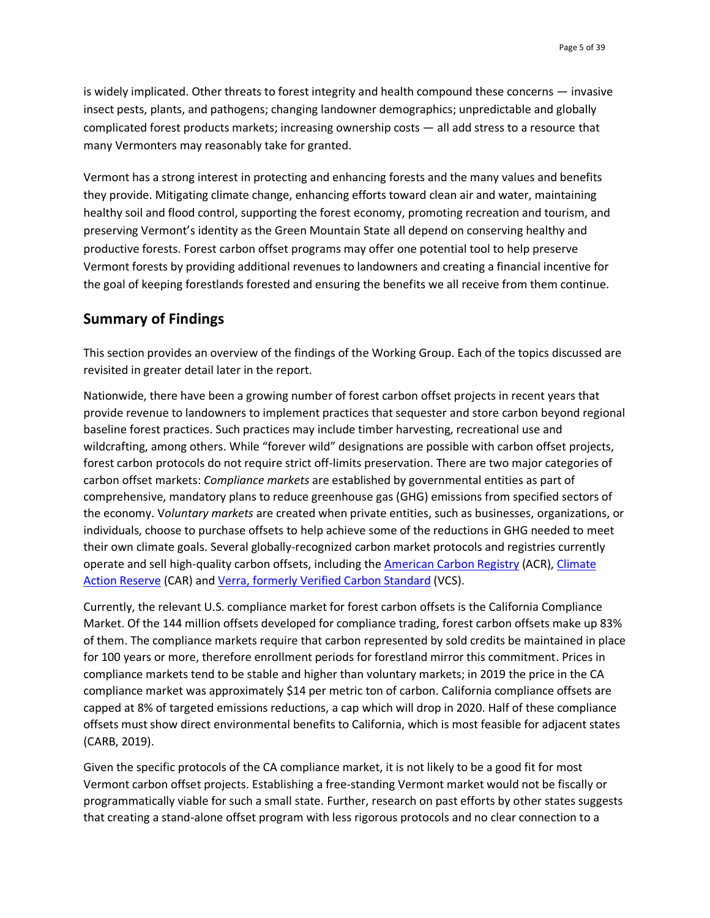is widely implicated. Other threats to forest integrity and health compound these concerns — invasive insect pests, plants, and pathogens; changing landowner demographics; unpredictable and globally complicated forest products markets; increasing ownership costs — all add stress to a resource that many Vermonters may reasonably take for granted.

Vermont has a strong interest in protecting and enhancing forests and the many values and benefits they provide. Mitigating climate change, enhancing efforts toward clean air and water, maintaining healthy soil and flood control, supporting the forest economy, promoting recreation and tourism, and preserving Vermont's identity as the Green Mountain State all depend on conserving healthy and productive forests. Forest carbon offset programs may offer one potential tool to help preserve Vermont forests by providing additional revenues to landowners and creating a financial incentive for the goal of keeping forestlands forested and ensuring the benefits we all receive from them continue.

## **Summary of Findings**

This section provides an overview of the findings of the Working Group. Each of the topics discussed are revisited in greater detail later in the report.

Nationwide, there have been a growing number of forest carbon offset projects in recent years that provide revenue to landowners to implement practices that sequester and store carbon beyond regional baseline forest practices. Such practices may include timber harvesting, recreational use and wildcrafting, among others. While "forever wild" designations are possible with carbon offset projects, forest carbon protocols do not require strict off-limits preservation. There are two major categories of carbon offset markets: *Compliance markets* are established by governmental entities as part of comprehensive, mandatory plans to reduce greenhouse gas (GHG) emissions from specified sectors of the economy. V*oluntary markets* are created when private entities, such as businesses, organizations, or individuals, choose to purchase offsets to help achieve some of the reductions in GHG needed to meet their own climate goals. Several globally-recognized carbon market protocols and registries currently operate and sell high-quality carbon offsets, including th[e American Carbon Registry](https://americancarbonregistry.org/) (ACR), [Climate](https://www.climateactionreserve.org/)  [Action Reserve](https://www.climateactionreserve.org/) (CAR) and [Verra, formerly Verified Carbon Standard](https://verra.org/) (VCS).

Currently, the relevant U.S. compliance market for forest carbon offsets is the California Compliance Market. Of the 144 million offsets developed for compliance trading, forest carbon offsets make up 83% of them. The compliance markets require that carbon represented by sold credits be maintained in place for 100 years or more, therefore enrollment periods for forestland mirror this commitment. Prices in compliance markets tend to be stable and higher than voluntary markets; in 2019 the price in the CA compliance market was approximately \$14 per metric ton of carbon. California compliance offsets are capped at 8% of targeted emissions reductions, a cap which will drop in 2020. Half of these compliance offsets must show direct environmental benefits to California, which is most feasible for adjacent states (CARB, 2019).

Given the specific protocols of the CA compliance market, it is not likely to be a good fit for most Vermont carbon offset projects. Establishing a free-standing Vermont market would not be fiscally or programmatically viable for such a small state. Further, research on past efforts by other states suggests that creating a stand-alone offset program with less rigorous protocols and no clear connection to a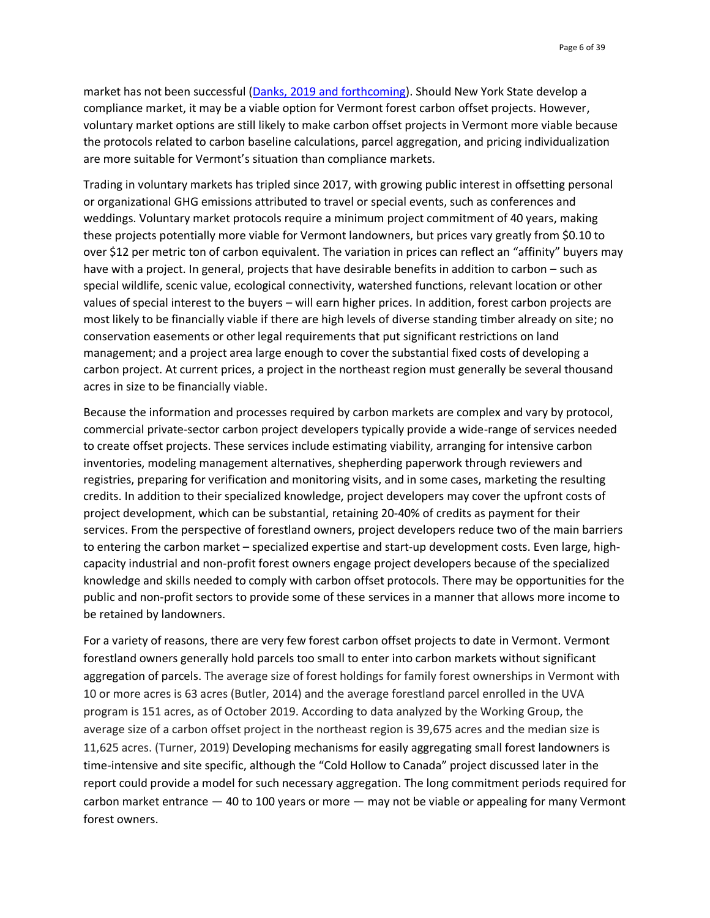market has not been successful [\(Danks, 2019 and forthcoming\)](http://www.uvm.edu/~cfcm/). Should New York State develop a compliance market, it may be a viable option for Vermont forest carbon offset projects. However, voluntary market options are still likely to make carbon offset projects in Vermont more viable because the protocols related to carbon baseline calculations, parcel aggregation, and pricing individualization are more suitable for Vermont's situation than compliance markets.

Trading in voluntary markets has tripled since 2017, with growing public interest in offsetting personal or organizational GHG emissions attributed to travel or special events, such as conferences and weddings. Voluntary market protocols require a minimum project commitment of 40 years, making these projects potentially more viable for Vermont landowners, but prices vary greatly from \$0.10 to over \$12 per metric ton of carbon equivalent. The variation in prices can reflect an "affinity" buyers may have with a project. In general, projects that have desirable benefits in addition to carbon – such as special wildlife, scenic value, ecological connectivity, watershed functions, relevant location or other values of special interest to the buyers – will earn higher prices. In addition, forest carbon projects are most likely to be financially viable if there are high levels of diverse standing timber already on site; no conservation easements or other legal requirements that put significant restrictions on land management; and a project area large enough to cover the substantial fixed costs of developing a carbon project. At current prices, a project in the northeast region must generally be several thousand acres in size to be financially viable.

Because the information and processes required by carbon markets are complex and vary by protocol, commercial private-sector carbon project developers typically provide a wide-range of services needed to create offset projects. These services include estimating viability, arranging for intensive carbon inventories, modeling management alternatives, shepherding paperwork through reviewers and registries, preparing for verification and monitoring visits, and in some cases, marketing the resulting credits. In addition to their specialized knowledge, project developers may cover the upfront costs of project development, which can be substantial, retaining 20-40% of credits as payment for their services. From the perspective of forestland owners, project developers reduce two of the main barriers to entering the carbon market – specialized expertise and start-up development costs. Even large, highcapacity industrial and non-profit forest owners engage project developers because of the specialized knowledge and skills needed to comply with carbon offset protocols. There may be opportunities for the public and non-profit sectors to provide some of these services in a manner that allows more income to be retained by landowners.

For a variety of reasons, there are very few forest carbon offset projects to date in Vermont. Vermont forestland owners generally hold parcels too small to enter into carbon markets without significant aggregation of parcels. The average size of forest holdings for family forest ownerships in Vermont with 10 or more acres is 63 acres (Butler, 2014) and the average forestland parcel enrolled in the UVA program is 151 acres, as of October 2019. According to data analyzed by the Working Group, the average size of a carbon offset project in the northeast region is 39,675 acres and the median size is 11,625 acres. (Turner, 2019) Developing mechanisms for easily aggregating small forest landowners is time-intensive and site specific, although the "Cold Hollow to Canada" project discussed later in the report could provide a model for such necessary aggregation. The long commitment periods required for carbon market entrance — 40 to 100 years or more — may not be viable or appealing for many Vermont forest owners.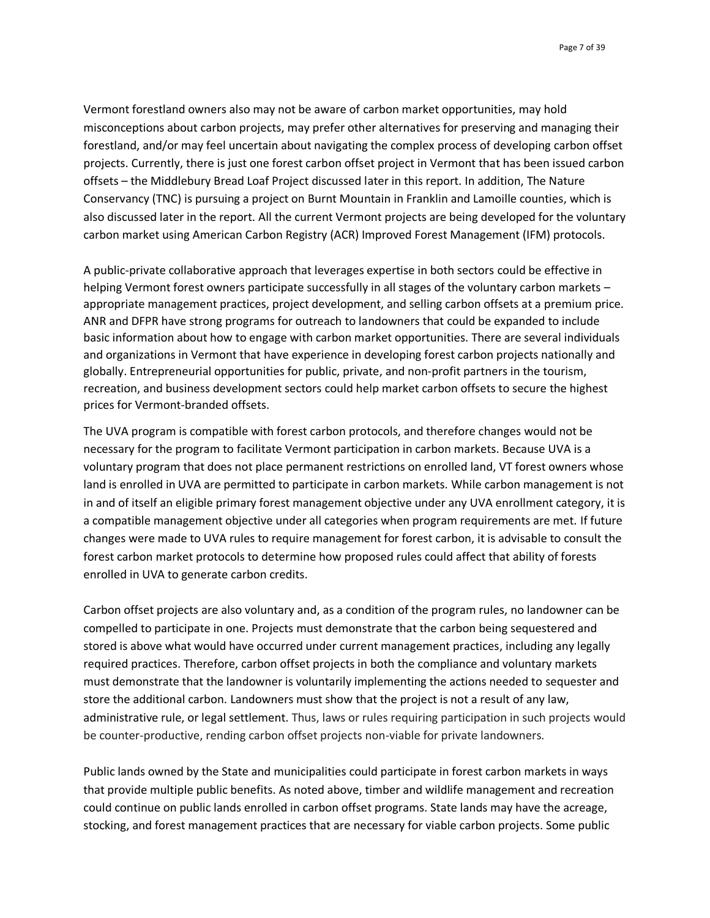Page 7 of 39

Vermont forestland owners also may not be aware of carbon market opportunities, may hold misconceptions about carbon projects, may prefer other alternatives for preserving and managing their forestland, and/or may feel uncertain about navigating the complex process of developing carbon offset projects. Currently, there is just one forest carbon offset project in Vermont that has been issued carbon offsets – the Middlebury Bread Loaf Project discussed later in this report. In addition, The Nature Conservancy (TNC) is pursuing a project on Burnt Mountain in Franklin and Lamoille counties, which is also discussed later in the report. All the current Vermont projects are being developed for the voluntary carbon market using American Carbon Registry (ACR) Improved Forest Management (IFM) protocols.

A public-private collaborative approach that leverages expertise in both sectors could be effective in helping Vermont forest owners participate successfully in all stages of the voluntary carbon markets – appropriate management practices, project development, and selling carbon offsets at a premium price. ANR and DFPR have strong programs for outreach to landowners that could be expanded to include basic information about how to engage with carbon market opportunities. There are several individuals and organizations in Vermont that have experience in developing forest carbon projects nationally and globally. Entrepreneurial opportunities for public, private, and non-profit partners in the tourism, recreation, and business development sectors could help market carbon offsets to secure the highest prices for Vermont-branded offsets.

The UVA program is compatible with forest carbon protocols, and therefore changes would not be necessary for the program to facilitate Vermont participation in carbon markets. Because UVA is a voluntary program that does not place permanent restrictions on enrolled land, VT forest owners whose land is enrolled in UVA are permitted to participate in carbon markets. While carbon management is not in and of itself an eligible primary forest management objective under any UVA enrollment category, it is a compatible management objective under all categories when program requirements are met. If future changes were made to UVA rules to require management for forest carbon, it is advisable to consult the forest carbon market protocols to determine how proposed rules could affect that ability of forests enrolled in UVA to generate carbon credits.

Carbon offset projects are also voluntary and, as a condition of the program rules, no landowner can be compelled to participate in one. Projects must demonstrate that the carbon being sequestered and stored is above what would have occurred under current management practices, including any legally required practices. Therefore, carbon offset projects in both the compliance and voluntary markets must demonstrate that the landowner is voluntarily implementing the actions needed to sequester and store the additional carbon. Landowners must show that the project is not a result of any law, administrative rule, or legal settlement. Thus, laws or rules requiring participation in such projects would be counter-productive, rending carbon offset projects non-viable for private landowners.

Public lands owned by the State and municipalities could participate in forest carbon markets in ways that provide multiple public benefits. As noted above, timber and wildlife management and recreation could continue on public lands enrolled in carbon offset programs. State lands may have the acreage, stocking, and forest management practices that are necessary for viable carbon projects. Some public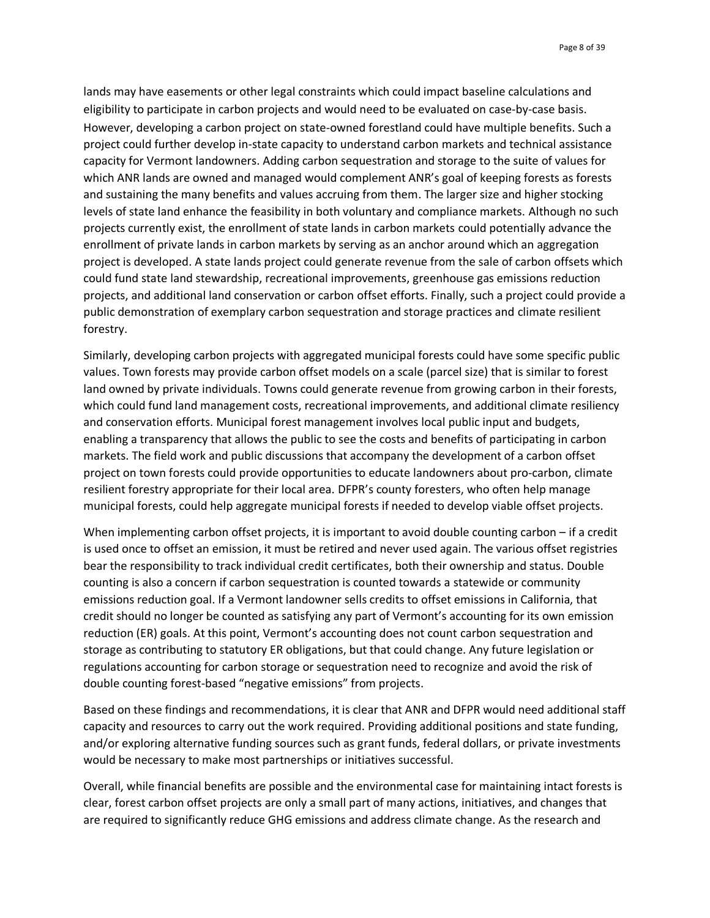lands may have easements or other legal constraints which could impact baseline calculations and eligibility to participate in carbon projects and would need to be evaluated on case-by-case basis. However, developing a carbon project on state-owned forestland could have multiple benefits. Such a project could further develop in-state capacity to understand carbon markets and technical assistance capacity for Vermont landowners. Adding carbon sequestration and storage to the suite of values for which ANR lands are owned and managed would complement ANR's goal of keeping forests as forests and sustaining the many benefits and values accruing from them. The larger size and higher stocking levels of state land enhance the feasibility in both voluntary and compliance markets. Although no such projects currently exist, the enrollment of state lands in carbon markets could potentially advance the enrollment of private lands in carbon markets by serving as an anchor around which an aggregation project is developed. A state lands project could generate revenue from the sale of carbon offsets which could fund state land stewardship, recreational improvements, greenhouse gas emissions reduction projects, and additional land conservation or carbon offset efforts. Finally, such a project could provide a public demonstration of exemplary carbon sequestration and storage practices and climate resilient forestry.

Similarly, developing carbon projects with aggregated municipal forests could have some specific public values. Town forests may provide carbon offset models on a scale (parcel size) that is similar to forest land owned by private individuals. Towns could generate revenue from growing carbon in their forests, which could fund land management costs, recreational improvements, and additional climate resiliency and conservation efforts. Municipal forest management involves local public input and budgets, enabling a transparency that allows the public to see the costs and benefits of participating in carbon markets. The field work and public discussions that accompany the development of a carbon offset project on town forests could provide opportunities to educate landowners about pro-carbon, climate resilient forestry appropriate for their local area. DFPR's county foresters, who often help manage municipal forests, could help aggregate municipal forests if needed to develop viable offset projects.

When implementing carbon offset projects, it is important to avoid double counting carbon – if a credit is used once to offset an emission, it must be retired and never used again. The various offset registries bear the responsibility to track individual credit certificates, both their ownership and status. Double counting is also a concern if carbon sequestration is counted towards a statewide or community emissions reduction goal. If a Vermont landowner sells credits to offset emissions in California, that credit should no longer be counted as satisfying any part of Vermont's accounting for its own emission reduction (ER) goals. At this point, Vermont's accounting does not count carbon sequestration and storage as contributing to statutory ER obligations, but that could change. Any future legislation or regulations accounting for carbon storage or sequestration need to recognize and avoid the risk of double counting forest-based "negative emissions" from projects.

Based on these findings and recommendations, it is clear that ANR and DFPR would need additional staff capacity and resources to carry out the work required. Providing additional positions and state funding, and/or exploring alternative funding sources such as grant funds, federal dollars, or private investments would be necessary to make most partnerships or initiatives successful.

Overall, while financial benefits are possible and the environmental case for maintaining intact forests is clear, forest carbon offset projects are only a small part of many actions, initiatives, and changes that are required to significantly reduce GHG emissions and address climate change. As the research and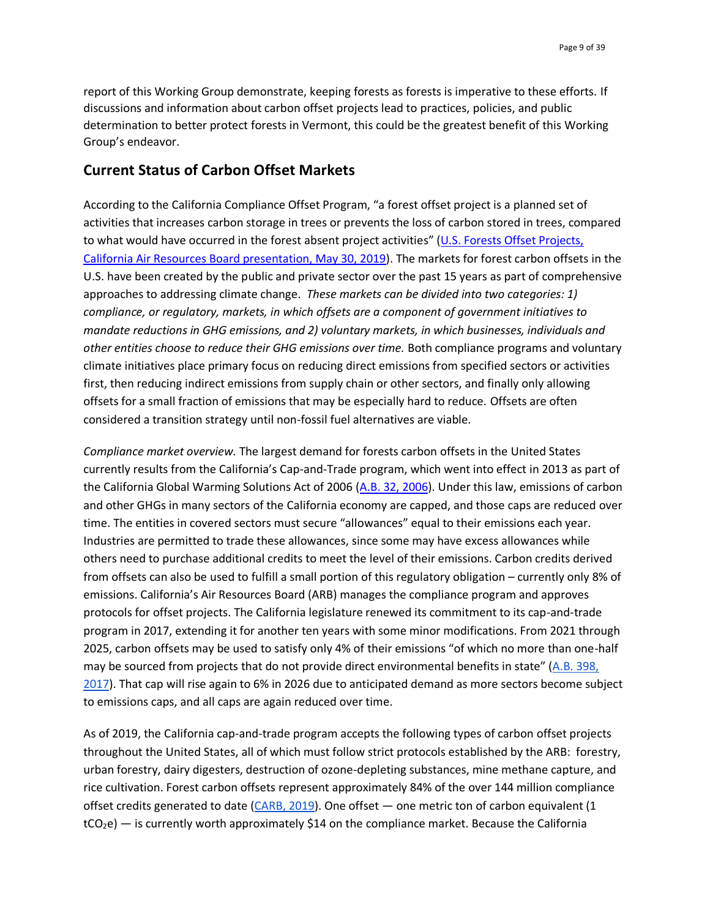report of this Working Group demonstrate, keeping forests as forests is imperative to these efforts. If discussions and information about carbon offset projects lead to practices, policies, and public determination to better protect forests in Vermont, this could be the greatest benefit of this Working Group's endeavor.

## **Current Status of Carbon Offset Markets**

According to the California Compliance Offset Program, "a forest offset project is a planned set of activities that increases carbon storage in trees or prevents the loss of carbon stored in trees, compared to what would have occurred in the forest absent project activities" ([U.S. Forests Offset Projects,](https://ww3.arb.ca.gov/cc/capandtrade/offsets/overview.pdf)  [California Air Resources Board presentation, May 30, 2019\)](https://ww3.arb.ca.gov/cc/capandtrade/offsets/overview.pdf). The markets for forest carbon offsets in the U.S. have been created by the public and private sector over the past 15 years as part of comprehensive approaches to addressing climate change. *These markets can be divided into two categories: 1) compliance, or regulatory, markets, in which offsets are a component of government initiatives to mandate reductions in GHG emissions, and 2) voluntary markets, in which businesses, individuals and other entities choose to reduce their GHG emissions over time.* Both compliance programs and voluntary climate initiatives place primary focus on reducing direct emissions from specified sectors or activities first, then reducing indirect emissions from supply chain or other sectors, and finally only allowing offsets for a small fraction of emissions that may be especially hard to reduce. Offsets are often considered a transition strategy until non-fossil fuel alternatives are viable.

*Compliance market overview.* The largest demand for forests carbon offsets in the United States currently results from the California's Cap-and-Trade program, which went into effect in 2013 as part of the California Global Warming Solutions Act of 2006 [\(A.B. 32, 2006\)](http://leginfo.legislature.ca.gov/faces/billNavClient.xhtml?bill_id=200520060AB32). Under this law, emissions of carbon and other GHGs in many sectors of the California economy are capped, and those caps are reduced over time. The entities in covered sectors must secure "allowances" equal to their emissions each year. Industries are permitted to trade these allowances, since some may have excess allowances while others need to purchase additional credits to meet the level of their emissions. Carbon credits derived from offsets can also be used to fulfill a small portion of this regulatory obligation – currently only 8% of emissions. California's Air Resources Board (ARB) manages the compliance program and approves protocols for offset projects. The California legislature renewed its commitment to its cap-and-trade program in 2017, extending it for another ten years with some minor modifications. From 2021 through 2025, carbon offsets may be used to satisfy only 4% of their emissions "of which no more than one-half may be sourced from projects that do not provide direct environmental benefits in state" ([A.B. 398,](http://leginfo.legislature.ca.gov/faces/billNavClient.xhtml?bill_id=201720180AB398) 2017). That cap will rise again to 6% in 2026 due to anticipated demand as more sectors become subject to emissions caps, and all caps are again reduced over time.

As of 2019, the California cap-and-trade program accepts the following types of carbon offset projects throughout the United States, all of which must follow strict protocols established by the ARB: forestry, urban forestry, dairy digesters, destruction of ozone-depleting substances, mine methane capture, and rice cultivation. Forest carbon offsets represent approximately 84% of the over 144 million compliance offset credits generated to date (CARB, 2019). One offset — one metric ton of carbon equivalent (1  $tCO<sub>2</sub>e$ ) — is currently worth approximately \$14 on the compliance market. Because the California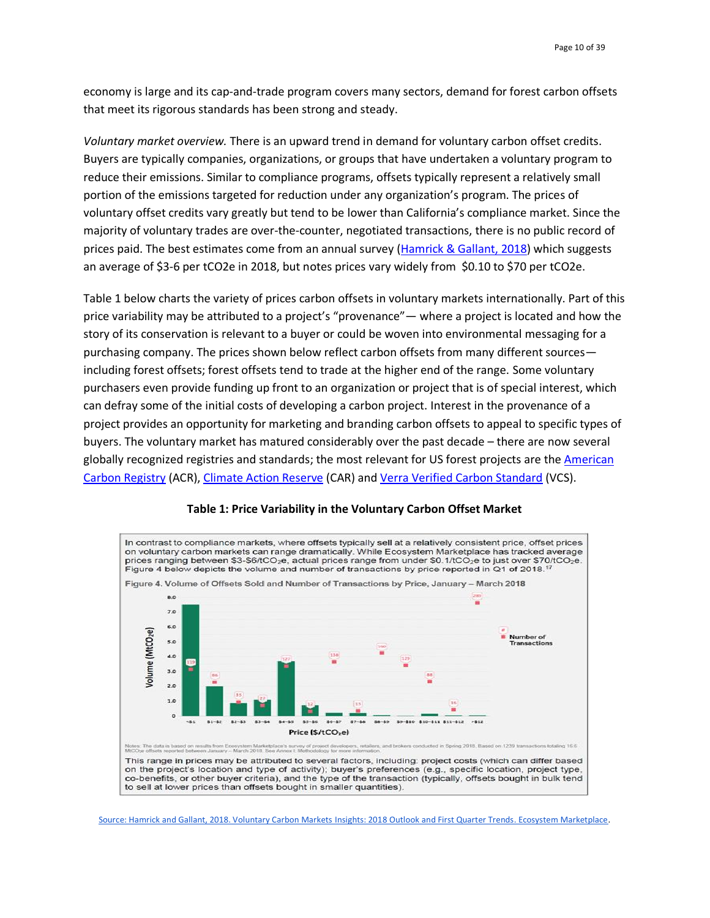economy is large and its cap-and-trade program covers many sectors, demand for forest carbon offsets that meet its rigorous standards has been strong and steady.

*Voluntary market overview.* There is an upward trend in demand for voluntary carbon offset credits. Buyers are typically companies, organizations, or groups that have undertaken a voluntary program to reduce their emissions. Similar to compliance programs, offsets typically represent a relatively small portion of the emissions targeted for reduction under any organization's program. The prices of voluntary offset credits vary greatly but tend to be lower than California's compliance market. Since the majority of voluntary trades are over-the-counter, negotiated transactions, there is no public record of prices paid. The best esti[m](https://www.forest-trends.org/wp-content/uploads/2018/09/VCM-Q1-Report_Full-Version-2.pdf)ates come from an annual survey [\(Hamrick & Gallant, 2018\)](https://www.forest-trends.org/wp-content/uploads/2018/09/VCM-Q1-Report_Full-Version-2.pdf) which suggests an average of \$3-6 per tCO2e in 2018, but notes prices vary widely from \$0.10 to \$70 per tCO2e.

Table 1 below charts the variety of prices carbon offsets in voluntary markets internationally. Part of this price variability may be attributed to a project's "provenance"— where a project is located and how the story of its conservation is relevant to a buyer or could be woven into environmental messaging for a purchasing company. The prices shown below reflect carbon offsets from many different sources including forest offsets; forest offsets tend to trade at the higher end of the range. Some voluntary purchasers even provide funding up front to an organization or project that is of special interest, which can defray some of the initial costs of developing a carbon project. Interest in the provenance of a project provides an opportunity for marketing and branding carbon offsets to appeal to specific types of buyers. The voluntary market has matured considerably over the past decade – there are now several globally recognized registries and standards; the most relevant for US forest projects are the [American](https://americancarbonregistry.org/)  [Carbon Registry](https://americancarbonregistry.org/) (ACR), [Climate Action Reserve](https://www.climateactionreserve.org/) (CAR) and [Verra Verified Carbon Standard](https://verra.org/) (VCS).



#### **Table 1: Price Variability in the Voluntary Carbon Offset Market**

[Source: Hamrick and Gallant, 2018. Voluntary Carbon Markets Insights: 2018](https://www.forest-trends.org/wp-content/uploads/2018/09/VCM-Q1-Report_Full-Version-2.pdf) Outlook and First Quarter Trends. Ecosystem Marketplace.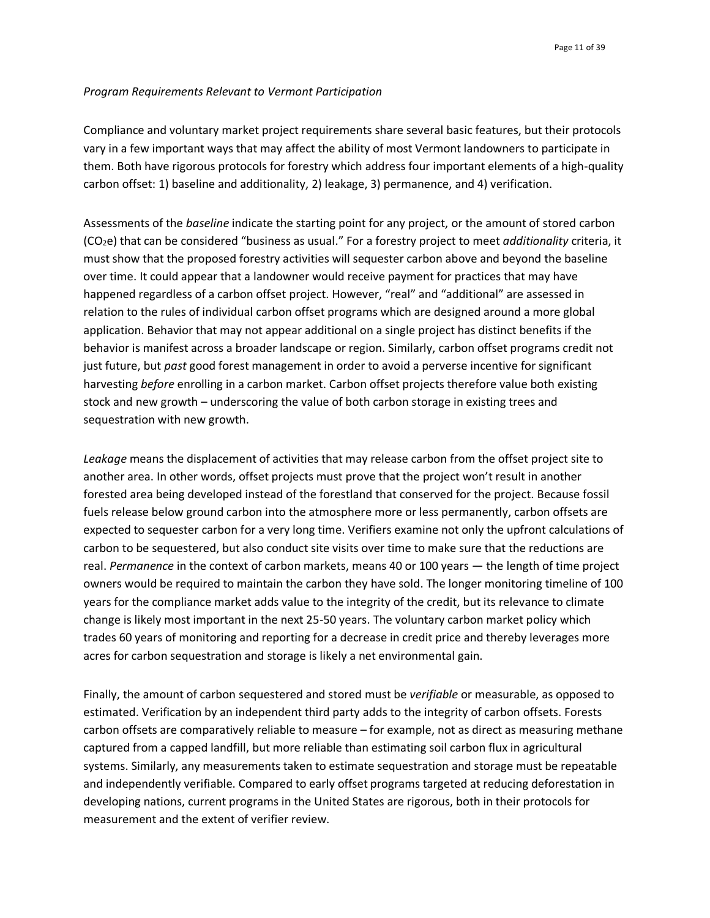#### *Program Requirements Relevant to Vermont Participation*

Compliance and voluntary market project requirements share several basic features, but their protocols vary in a few important ways that may affect the ability of most Vermont landowners to participate in them. Both have rigorous protocols for forestry which address four important elements of a high-quality carbon offset: 1) baseline and additionality, 2) leakage, 3) permanence, and 4) verification.

Assessments of the *baseline* indicate the starting point for any project, or the amount of stored carbon (CO2e) that can be considered "business as usual." For a forestry project to meet *additionality* criteria, it must show that the proposed forestry activities will sequester carbon above and beyond the baseline over time. It could appear that a landowner would receive payment for practices that may have happened regardless of a carbon offset project. However, "real" and "additional" are assessed in relation to the rules of individual carbon offset programs which are designed around a more global application. Behavior that may not appear additional on a single project has distinct benefits if the behavior is manifest across a broader landscape or region. Similarly, carbon offset programs credit not just future, but *past* good forest management in order to avoid a perverse incentive for significant harvesting *before* enrolling in a carbon market. Carbon offset projects therefore value both existing stock and new growth – underscoring the value of both carbon storage in existing trees and sequestration with new growth.

*Leakage* means the displacement of activities that may release carbon from the offset project site to another area. In other words, offset projects must prove that the project won't result in another forested area being developed instead of the forestland that conserved for the project. Because fossil fuels release below ground carbon into the atmosphere more or less permanently, carbon offsets are expected to sequester carbon for a very long time. Verifiers examine not only the upfront calculations of carbon to be sequestered, but also conduct site visits over time to make sure that the reductions are real. *Permanence* in the context of carbon markets, means 40 or 100 years — the length of time project owners would be required to maintain the carbon they have sold. The longer monitoring timeline of 100 years for the compliance market adds value to the integrity of the credit, but its relevance to climate change is likely most important in the next 25-50 years. The voluntary carbon market policy which trades 60 years of monitoring and reporting for a decrease in credit price and thereby leverages more acres for carbon sequestration and storage is likely a net environmental gain.

Finally, the amount of carbon sequestered and stored must be *verifiable* or measurable, as opposed to estimated. Verification by an independent third party adds to the integrity of carbon offsets. Forests carbon offsets are comparatively reliable to measure – for example, not as direct as measuring methane captured from a capped landfill, but more reliable than estimating soil carbon flux in agricultural systems. Similarly, any measurements taken to estimate sequestration and storage must be repeatable and independently verifiable. Compared to early offset programs targeted at reducing deforestation in developing nations, current programs in the United States are rigorous, both in their protocols for measurement and the extent of verifier review.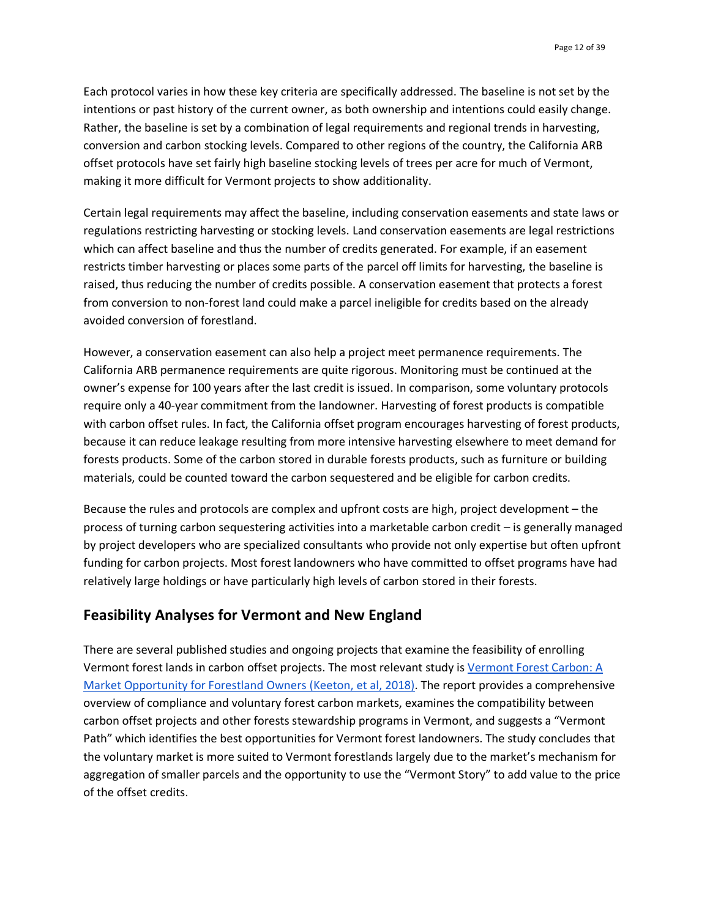Each protocol varies in how these key criteria are specifically addressed. The baseline is not set by the intentions or past history of the current owner, as both ownership and intentions could easily change. Rather, the baseline is set by a combination of legal requirements and regional trends in harvesting, conversion and carbon stocking levels. Compared to other regions of the country, the California ARB offset protocols have set fairly high baseline stocking levels of trees per acre for much of Vermont, making it more difficult for Vermont projects to show additionality.

Certain legal requirements may affect the baseline, including conservation easements and state laws or regulations restricting harvesting or stocking levels. Land conservation easements are legal restrictions which can affect baseline and thus the number of credits generated. For example, if an easement restricts timber harvesting or places some parts of the parcel off limits for harvesting, the baseline is raised, thus reducing the number of credits possible. A conservation easement that protects a forest from conversion to non-forest land could make a parcel ineligible for credits based on the already avoided conversion of forestland.

However, a conservation easement can also help a project meet permanence requirements. The California ARB permanence requirements are quite rigorous. Monitoring must be continued at the owner's expense for 100 years after the last credit is issued. In comparison, some voluntary protocols require only a 40-year commitment from the landowner. Harvesting of forest products is compatible with carbon offset rules. In fact, the California offset program encourages harvesting of forest products, because it can reduce leakage resulting from more intensive harvesting elsewhere to meet demand for forests products. Some of the carbon stored in durable forests products, such as furniture or building materials, could be counted toward the carbon sequestered and be eligible for carbon credits.

Because the rules and protocols are complex and upfront costs are high, project development – the process of turning carbon sequestering activities into a marketable carbon credit – is generally managed by project developers who are specialized consultants who provide not only expertise but often upfront funding for carbon projects. Most forest landowners who have committed to offset programs have had relatively large holdings or have particularly high levels of carbon stored in their forests.

# **Feasibility Analyses for Vermont and New England**

There are several published studies and ongoing projects that examine the feasibility of enrolling Vermont forest lands in carbon offset projects. The most relevant study is [Vermont Forest Carbon: A](https://www.vlt.org/wp-content/uploads/2018/07/Vermont_Forest_Carbon.pdf)  [Market Opportunity for Forestland Owners \(Keeton,](https://www.vlt.org/wp-content/uploads/2018/07/Vermont_Forest_Carbon.pdf) et al, 2018). The report provides a comprehensive overview of compliance and voluntary forest carbon markets, examines the compatibility between carbon offset projects and other forests stewardship programs in Vermont, and suggests a "Vermont Path" which identifies the best opportunities for Vermont forest landowners. The study concludes that the voluntary market is more suited to Vermont forestlands largely due to the market's mechanism for aggregation of smaller parcels and the opportunity to use the "Vermont Story" to add value to the price of the offset credits.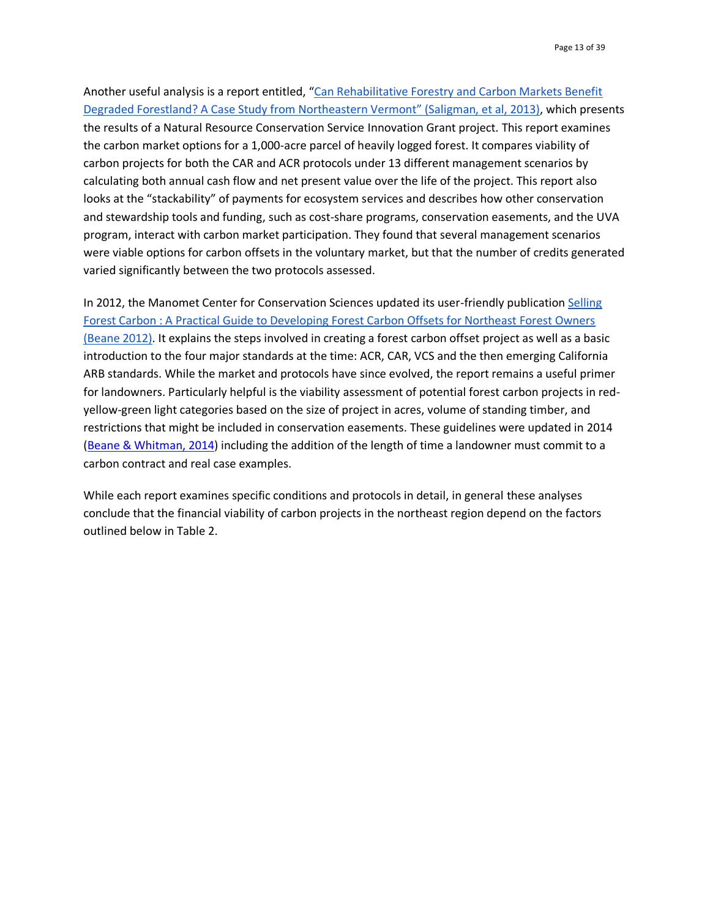Another useful analysis is a report entitled, ["](http://www.uvm.edu/rsenr/wkeeton/pubpdfs/Rehabilitative%20Forestry%20&%20Carbon%20Markets%20Final%20Report%20_.pdf)[Can Rehabilitative Forestry and Carbon Markets Benefit](http://www.uvm.edu/rsenr/wkeeton/pubpdfs/Rehabilitative%20Forestry%20&%20Carbon%20Markets%20Final%20Report%20_.pdf)  Degraded Forestland? [A Case Study from Northeastern Vermont](http://www.uvm.edu/rsenr/wkeeton/pubpdfs/Rehabilitative%20Forestry%20&%20Carbon%20Markets%20Final%20Report%20_.pdf)" (Saligman, et al, 2013), which presents the results of a Natural Resource Conservation Service Innovation Grant project. This report examines the carbon market options for a 1,000-acre parcel of heavily logged forest. It compares viability of carbon projects for both the CAR and ACR protocols under 13 different management scenarios by calculating both annual cash flow and net present value over the life of the project. This report also looks at the "stackability" of payments for ecosystem services and describes how other conservation and stewardship tools and funding, such as cost-share programs, conservation easements, and the UVA program, interact with carbon market participation. They found that several management scenarios were viable options for carbon offsets in the voluntary market, but that the number of credits generated varied significantly between the two protocols assessed.

In 2012, the Manomet Center for Conservation Sciences updated its user-friendly publicatio[n](https://www.manomet.org/wp-content/uploads/old-files/Selling%20Forest%20Carbon_Final%20September%202012.pdf) [Selling](https://www.manomet.org/wp-content/uploads/old-files/Selling%20Forest%20Carbon_Final%20September%202012.pdf)  [Forest Carbon : A Practical Guide to Developing Forest Carbon Offsets for Northeast Forest Owners](https://www.manomet.org/wp-content/uploads/old-files/Selling%20Forest%20Carbon_Final%20September%202012.pdf)  [\(Beane 2012\).](https://www.manomet.org/wp-content/uploads/old-files/Selling%20Forest%20Carbon_Final%20September%202012.pdf) It explains the steps involved in creating a forest carbon offset project as well as a basic introduction to the four major standards at the time: ACR, CAR, VCS and the then emerging California ARB standards. While the market and protocols have since evolved, the report remains a useful primer for landowners. Particularly helpful is the viability assessment of potential forest carbon projects in redyellow-green light categories based on the size of project in acres, volume of standing timber, and restrictions that might be included in conservation easements. These guidelines were updated in [2](https://www.manomet.org/wp-content/uploads/old-files/forestoffsets_casestudies.pdf)014 [\(Beane & Whitman, 2014\)](https://www.manomet.org/wp-content/uploads/old-files/forestoffsets_casestudies.pdf) including the addition of the length of time a landowner must commit to a carbon contract and real case examples.

While each report examines specific conditions and protocols in detail, in general these analyses conclude that the financial viability of carbon projects in the northeast region depend on the factors outlined below in Table 2.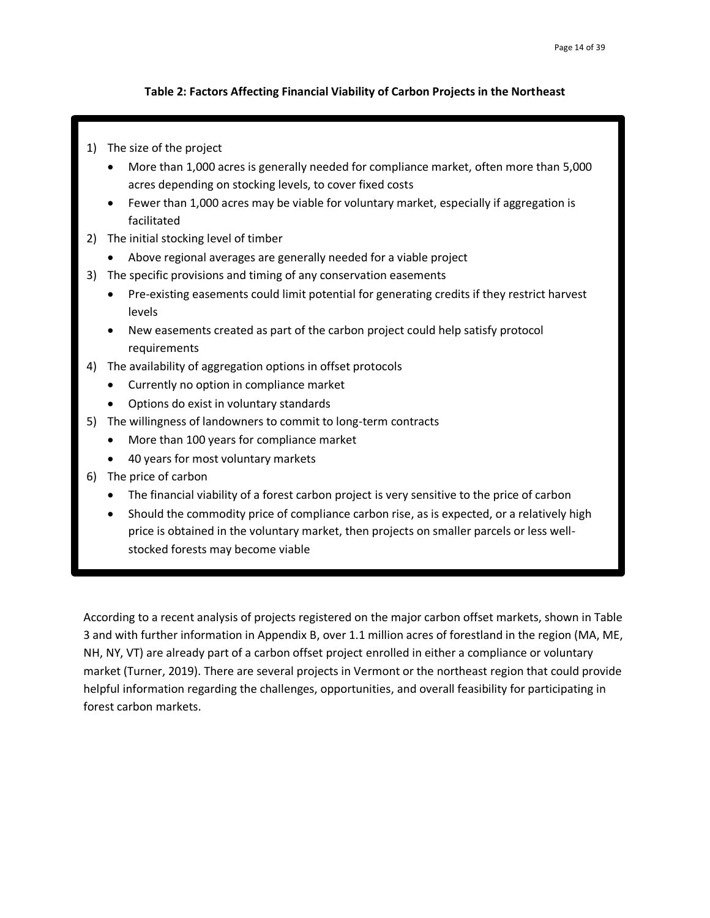#### **Table 2: Factors Affecting Financial Viability of Carbon Projects in the Northeast**

- 1) The size of the project
	- More than 1,000 acres is generally needed for compliance market, often more than 5,000 acres depending on stocking levels, to cover fixed costs
	- Fewer than 1,000 acres may be viable for voluntary market, especially if aggregation is facilitated
- 2) The initial stocking level of timber
	- Above regional averages are generally needed for a viable project
- 3) The specific provisions and timing of any conservation easements
	- Pre-existing easements could limit potential for generating credits if they restrict harvest levels
	- New easements created as part of the carbon project could help satisfy protocol requirements
- 4) The availability of aggregation options in offset protocols
	- Currently no option in compliance market
	- Options do exist in voluntary standards
- 5) The willingness of landowners to commit to long-term contracts
	- More than 100 years for compliance market
	- 40 years for most voluntary markets
- 6) The price of carbon
	- The financial viability of a forest carbon project is very sensitive to the price of carbon
	- Should the commodity price of compliance carbon rise, as is expected, or a relatively high price is obtained in the voluntary market, then projects on smaller parcels or less wellstocked forests may become viable

According to a recent analysis of projects registered on the major carbon offset markets, shown in Table 3 and with further information in Appendix B, over 1.1 million acres of forestland in the region (MA, ME, NH, NY, VT) are already part of a carbon offset project enrolled in either a compliance or voluntary market (Turner, 2019). There are several projects in Vermont or the northeast region that could provide helpful information regarding the challenges, opportunities, and overall feasibility for participating in forest carbon markets.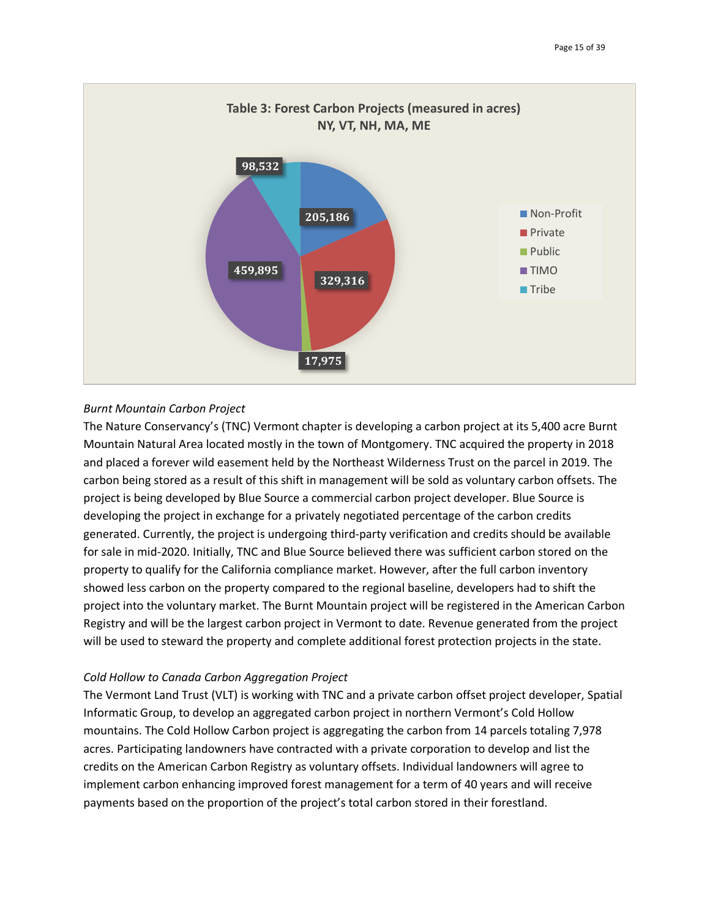

#### *Burnt Mountain Carbon Project*

The Nature Conservancy's (TNC) Vermont chapter is developing a carbon project at its 5,400 acre Burnt Mountain Natural Area located mostly in the town of Montgomery. TNC acquired the property in 2018 and placed a forever wild easement held by the Northeast Wilderness Trust on the parcel in 2019. The carbon being stored as a result of this shift in management will be sold as voluntary carbon offsets. The project is being developed by Blue Source a commercial carbon project developer. Blue Source is developing the project in exchange for a privately negotiated percentage of the carbon credits generated. Currently, the project is undergoing third-party verification and credits should be available for sale in mid-2020. Initially, TNC and Blue Source believed there was sufficient carbon stored on the property to qualify for the California compliance market. However, after the full carbon inventory showed less carbon on the property compared to the regional baseline, developers had to shift the project into the voluntary market. The Burnt Mountain project will be registered in the American Carbon Registry and will be the largest carbon project in Vermont to date. Revenue generated from the project will be used to steward the property and complete additional forest protection projects in the state.

#### *Cold Hollow to Canada Carbon Aggregation Project*

The Vermont Land Trust (VLT) is working with TNC and a private carbon offset project developer, Spatial Informatic Group, to develop an aggregated carbon project in northern Vermont's Cold Hollow mountains. The Cold Hollow Carbon project is aggregating the carbon from 14 parcels totaling 7,978 acres. Participating landowners have contracted with a private corporation to develop and list the credits on the American Carbon Registry as voluntary offsets. Individual landowners will agree to implement carbon enhancing improved forest management for a term of 40 years and will receive payments based on the proportion of the project's total carbon stored in their forestland.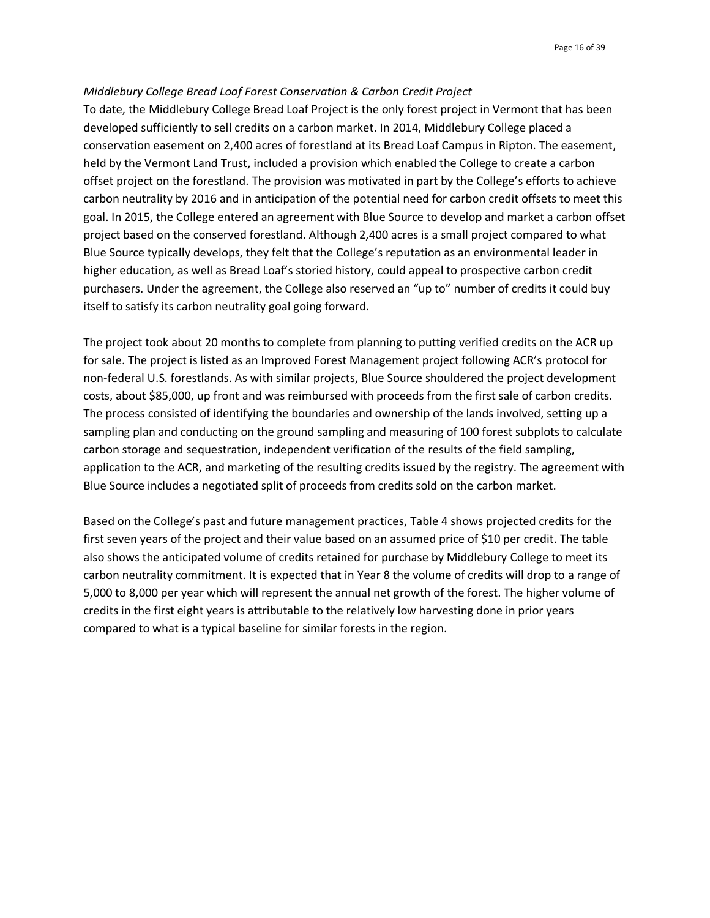#### *Middlebury College Bread Loaf Forest Conservation & Carbon Credit Project*

To date, the Middlebury College Bread Loaf Project is the only forest project in Vermont that has been developed sufficiently to sell credits on a carbon market. In 2014, Middlebury College placed a conservation easement on 2,400 acres of forestland at its Bread Loaf Campus in Ripton. The easement, held by the Vermont Land Trust, included a provision which enabled the College to create a carbon offset project on the forestland. The provision was motivated in part by the College's efforts to achieve carbon neutrality by 2016 and in anticipation of the potential need for carbon credit offsets to meet this goal. In 2015, the College entered an agreement with Blue Source to develop and market a carbon offset project based on the conserved forestland. Although 2,400 acres is a small project compared to what Blue Source typically develops, they felt that the College's reputation as an environmental leader in higher education, as well as Bread Loaf's storied history, could appeal to prospective carbon credit purchasers. Under the agreement, the College also reserved an "up to" number of credits it could buy itself to satisfy its carbon neutrality goal going forward.

The project took about 20 months to complete from planning to putting verified credits on the ACR up for sale. The project is listed as an Improved Forest Management project following ACR's protocol for non-federal U.S. forestlands. As with similar projects, Blue Source shouldered the project development costs, about \$85,000, up front and was reimbursed with proceeds from the first sale of carbon credits. The process consisted of identifying the boundaries and ownership of the lands involved, setting up a sampling plan and conducting on the ground sampling and measuring of 100 forest subplots to calculate carbon storage and sequestration, independent verification of the results of the field sampling, application to the ACR, and marketing of the resulting credits issued by the registry. The agreement with Blue Source includes a negotiated split of proceeds from credits sold on the carbon market.

Based on the College's past and future management practices, Table 4 shows projected credits for the first seven years of the project and their value based on an assumed price of \$10 per credit. The table also shows the anticipated volume of credits retained for purchase by Middlebury College to meet its carbon neutrality commitment. It is expected that in Year 8 the volume of credits will drop to a range of 5,000 to 8,000 per year which will represent the annual net growth of the forest. The higher volume of credits in the first eight years is attributable to the relatively low harvesting done in prior years compared to what is a typical baseline for similar forests in the region.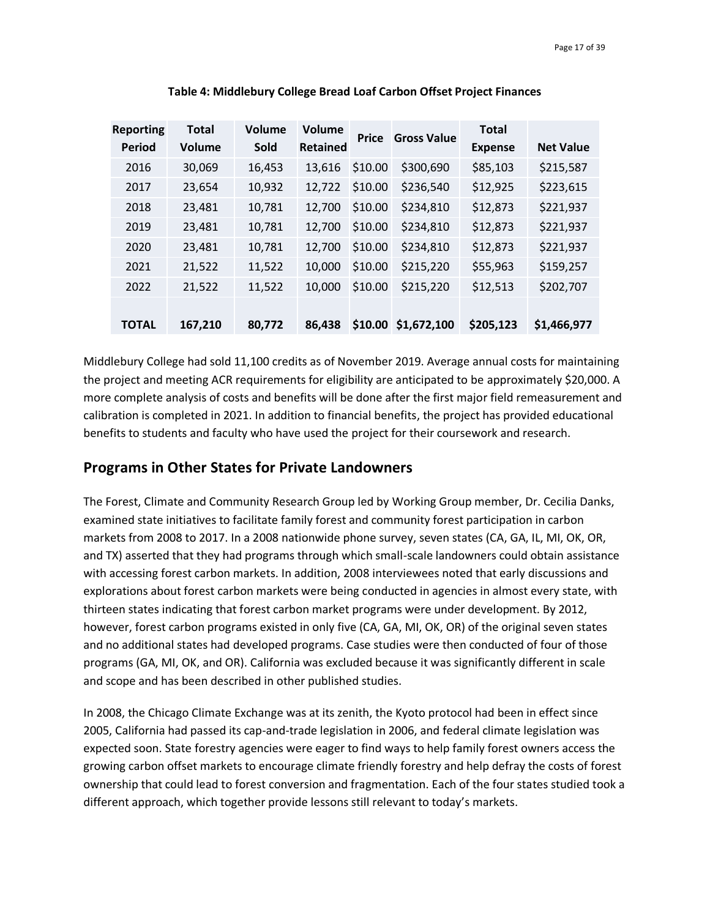| <b>Reporting</b><br><b>Period</b> | <b>Total</b><br><b>Volume</b> | Volume<br>Sold | <b>Volume</b><br><b>Retained</b> | <b>Price</b> | <b>Gross Value</b> | <b>Total</b><br><b>Expense</b> | <b>Net Value</b> |
|-----------------------------------|-------------------------------|----------------|----------------------------------|--------------|--------------------|--------------------------------|------------------|
| 2016                              | 30,069                        | 16,453         | 13,616                           | \$10.00      | \$300,690          | \$85,103                       | \$215,587        |
| 2017                              | 23,654                        | 10,932         | 12,722                           | \$10.00      | \$236,540          | \$12,925                       | \$223,615        |
| 2018                              | 23,481                        | 10,781         | 12,700                           | \$10.00      | \$234,810          | \$12,873                       | \$221,937        |
| 2019                              | 23,481                        | 10,781         | 12,700                           | \$10.00      | \$234,810          | \$12,873                       | \$221,937        |
| 2020                              | 23,481                        | 10,781         | 12,700                           | \$10.00      | \$234,810          | \$12,873                       | \$221,937        |
| 2021                              | 21,522                        | 11,522         | 10,000                           | \$10.00      | \$215,220          | \$55,963                       | \$159,257        |
| 2022                              | 21,522                        | 11,522         | 10,000                           | \$10.00      | \$215,220          | \$12,513                       | \$202,707        |
| <b>TOTAL</b>                      | 167,210                       | 80,772         | 86,438                           | \$10.00      | \$1,672,100        | \$205,123                      | \$1,466,977      |

**Table 4: Middlebury College Bread Loaf Carbon Offset Project Finances**

Middlebury College had sold 11,100 credits as of November 2019. Average annual costs for maintaining the project and meeting ACR requirements for eligibility are anticipated to be approximately \$20,000. A more complete analysis of costs and benefits will be done after the first major field remeasurement and calibration is completed in 2021. In addition to financial benefits, the project has provided educational benefits to students and faculty who have used the project for their coursework and research.

### **Programs in Other States for Private Landowners**

The Forest, Climate and Community Research Group led by Working Group member, Dr. Cecilia Danks, examined state initiatives to facilitate family forest and community forest participation in carbon markets from 2008 to 2017. In a 2008 nationwide phone survey, seven states (CA, GA, IL, MI, OK, OR, and TX) asserted that they had programs through which small-scale landowners could obtain assistance with accessing forest carbon markets. In addition, 2008 interviewees noted that early discussions and explorations about forest carbon markets were being conducted in agencies in almost every state, with thirteen states indicating that forest carbon market programs were under development. By 2012, however, forest carbon programs existed in only five (CA, GA, MI, OK, OR) of the original seven states and no additional states had developed programs. Case studies were then conducted of four of those programs (GA, MI, OK, and OR). California was excluded because it was significantly different in scale and scope and has been described in other published studies.

In 2008, the Chicago Climate Exchange was at its zenith, the Kyoto protocol had been in effect since 2005, California had passed its cap-and-trade legislation in 2006, and federal climate legislation was expected soon. State forestry agencies were eager to find ways to help family forest owners access the growing carbon offset markets to encourage climate friendly forestry and help defray the costs of forest ownership that could lead to forest conversion and fragmentation. Each of the four states studied took a different approach, which together provide lessons still relevant to today's markets.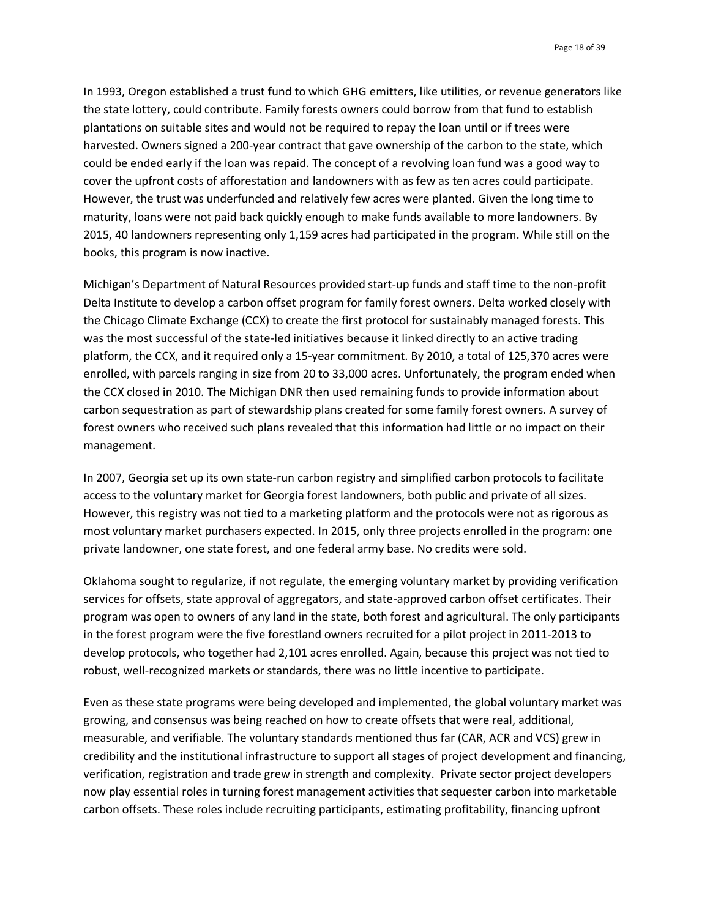In 1993, Oregon established a trust fund to which GHG emitters, like utilities, or revenue generators like the state lottery, could contribute. Family forests owners could borrow from that fund to establish plantations on suitable sites and would not be required to repay the loan until or if trees were harvested. Owners signed a 200-year contract that gave ownership of the carbon to the state, which could be ended early if the loan was repaid. The concept of a revolving loan fund was a good way to cover the upfront costs of afforestation and landowners with as few as ten acres could participate. However, the trust was underfunded and relatively few acres were planted. Given the long time to maturity, loans were not paid back quickly enough to make funds available to more landowners. By 2015, 40 landowners representing only 1,159 acres had participated in the program. While still on the books, this program is now inactive.

Michigan's Department of Natural Resources provided start-up funds and staff time to the non-profit Delta Institute to develop a carbon offset program for family forest owners. Delta worked closely with the Chicago Climate Exchange (CCX) to create the first protocol for sustainably managed forests. This was the most successful of the state-led initiatives because it linked directly to an active trading platform, the CCX, and it required only a 15-year commitment. By 2010, a total of 125,370 acres were enrolled, with parcels ranging in size from 20 to 33,000 acres. Unfortunately, the program ended when the CCX closed in 2010. The Michigan DNR then used remaining funds to provide information about carbon sequestration as part of stewardship plans created for some family forest owners. A survey of forest owners who received such plans revealed that this information had little or no impact on their management.

In 2007, Georgia set up its own state-run carbon registry and simplified carbon protocols to facilitate access to the voluntary market for Georgia forest landowners, both public and private of all sizes. However, this registry was not tied to a marketing platform and the protocols were not as rigorous as most voluntary market purchasers expected. In 2015, only three projects enrolled in the program: one private landowner, one state forest, and one federal army base. No credits were sold.

Oklahoma sought to regularize, if not regulate, the emerging voluntary market by providing verification services for offsets, state approval of aggregators, and state-approved carbon offset certificates. Their program was open to owners of any land in the state, both forest and agricultural. The only participants in the forest program were the five forestland owners recruited for a pilot project in 2011-2013 to develop protocols, who together had 2,101 acres enrolled. Again, because this project was not tied to robust, well-recognized markets or standards, there was no little incentive to participate.

Even as these state programs were being developed and implemented, the global voluntary market was growing, and consensus was being reached on how to create offsets that were real, additional, measurable, and verifiable. The voluntary standards mentioned thus far (CAR, ACR and VCS) grew in credibility and the institutional infrastructure to support all stages of project development and financing, verification, registration and trade grew in strength and complexity. Private sector project developers now play essential roles in turning forest management activities that sequester carbon into marketable carbon offsets. These roles include recruiting participants, estimating profitability, financing upfront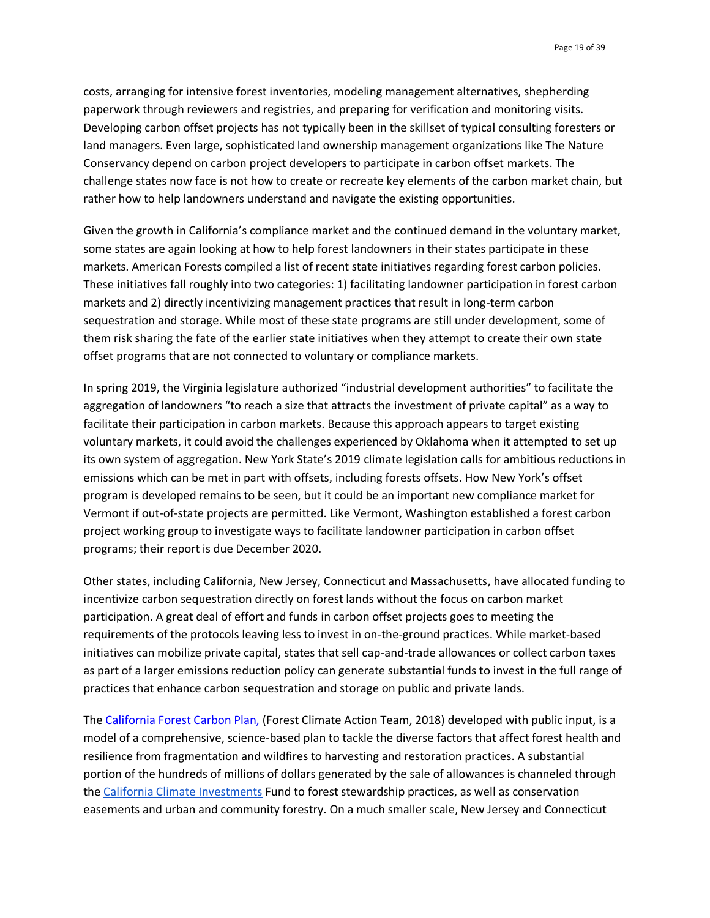costs, arranging for intensive forest inventories, modeling management alternatives, shepherding paperwork through reviewers and registries, and preparing for verification and monitoring visits. Developing carbon offset projects has not typically been in the skillset of typical consulting foresters or land managers. Even large, sophisticated land ownership management organizations like The Nature Conservancy depend on carbon project developers to participate in carbon offset markets. The challenge states now face is not how to create or recreate key elements of the carbon market chain, but rather how to help landowners understand and navigate the existing opportunities.

Given the growth in California's compliance market and the continued demand in the voluntary market, some states are again looking at how to help forest landowners in their states participate in these markets. American Forests compiled a list of recent state initiatives regarding forest carbon policies. These initiatives fall roughly into two categories: 1) facilitating landowner participation in forest carbon markets and 2) directly incentivizing management practices that result in long-term carbon sequestration and storage. While most of these state programs are still under development, some of them risk sharing the fate of the earlier state initiatives when they attempt to create their own state offset programs that are not connected to voluntary or compliance markets.

In spring 2019, the Virginia legislature authorized "industrial development authorities" to facilitate the aggregation of landowners "to reach a size that attracts the investment of private capital" as a way to facilitate their participation in carbon markets. Because this approach appears to target existing voluntary markets, it could avoid the challenges experienced by Oklahoma when it attempted to set up its own system of aggregation. New York State's 2019 climate legislation calls for ambitious reductions in emissions which can be met in part with offsets, including forests offsets. How New York's offset program is developed remains to be seen, but it could be an important new compliance market for Vermont if out-of-state projects are permitted. Like Vermont, Washington established a forest carbon project working group to investigate ways to facilitate landowner participation in carbon offset programs; their report is due December 2020.

Other states, including California, New Jersey, Connecticut and Massachusetts, have allocated funding to incentivize carbon sequestration directly on forest lands without the focus on carbon market participation. A great deal of effort and funds in carbon offset projects goes to meeting the requirements of the protocols leaving less to invest in on-the-ground practices. While market-based initiatives can mobilize private capital, states that sell cap-and-trade allowances or collect carbon taxes as part of a larger emissions reduction policy can generate substantial funds to invest in the full range of practices that enhance carbon sequestration and storage on public and private lands.

The [California](http://resources.ca.gov/wp-content/uploads/2018/05/California-Forest-Carbon-Plan-Final-Draft-for-Public-Release-May-2018.pdf) [Forest Carbon Plan,](http://resources.ca.gov/wp-content/uploads/2018/05/California-Forest-Carbon-Plan-Final-Draft-for-Public-Release-May-2018.pdf) (Forest Climate Action Team, 2018) developed with public input, is a model of a comprehensive, science-based plan to tackle the diverse factors that affect forest health and resilience from fragmentation and wildfires to harvesting and restoration practices. A substantial portion of the hundreds of millions of dollars generated by the sale of allowances is channeled through the [California Climate Investments](http://www.caclimateinvestments.ca.gov/natural-resources-waste-diversion) Fund to forest stewardship practices, as well as conservation easements and urban and community forestry. On a much smaller scale, New Jersey and Connecticut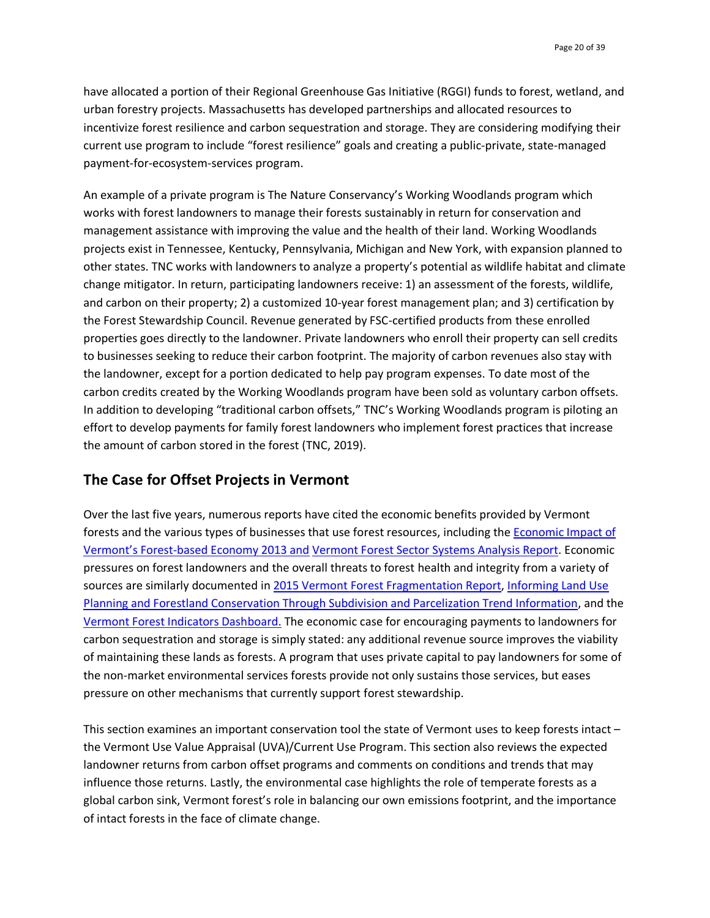have allocated a portion of their Regional Greenhouse Gas Initiative (RGGI) funds to forest, wetland, and urban forestry projects. Massachusetts has developed partnerships and allocated resources to incentivize forest resilience and carbon sequestration and storage. They are considering modifying their current use program to include "forest resilience" goals and creating a public-private, state-managed payment-for-ecosystem-services program.

An example of a private program is The [Nature Conservancy's Working Woodlands](https://www.nature.org/en-us/about-us/where-we-work/united-states/working-woodlands/) program which works with forest landowners to manage their forests sustainably in return for conservation and management assistance with improving the value and the health of their land. Working Woodlands projects exist in Tennessee, Kentucky, Pennsylvania, Michigan and New York, with expansion planned to other states. TNC works with landowners to analyze a property's potential as wildlife habitat and climate change mitigator. In return, participating landowners receive: 1) an assessment of the forests, wildlife, and carbon on their property; 2) a customized 10-year forest management plan; and 3) certification by the Forest Stewardship Council. Revenue generated by FSC-certified products from these enrolled properties goes directly to the landowner. Private landowners who enroll their property can sell credits to businesses seeking to reduce their carbon footprint. The majority of carbon revenues also stay with the landowner, except for a portion dedicated to help pay program expenses. To date most of the carbon credits created by the Working Woodlands program have been sold as voluntary carbon offsets. In addition to developing "traditional carbon offsets," TNC's Working Woodlands program is piloting an effort to develop payments for family forest landowners who implement forest practices that increase the amount of carbon stored in the forest (TNC, 2019).

# **The Case for Offset Projects in Vermont**

Over the last five years, numerous reports have cited the economic benefits provided by Vermont forests and the various types of businesses that use forest resources, including the [Economic Impact of](https://fpr.vermont.gov/sites/fpr/files/Forest_and_Forestry/Vermont_Forests/Library/NEFA13_Econ_Importance_VT_final_web_Jan29.pdf)  Vermont's Forest[-based Economy 2013](https://fpr.vermont.gov/sites/fpr/files/Forest_and_Forestry/Vermont_Forests/Library/NEFA13_Econ_Importance_VT_final_web_Jan29.pdf) and [Vermont Forest Sector Systems Analysis Report.](https://fpr.vermont.gov/sites/fpr/files/Forest_and_Forestry/Forest_Based_Business/Library/VT%20Forest%20Sector%20Analysis_2016b.pdf) Economic pressures on forest landowners and the overall threats to forest health and integrity from a variety of sources are similarly documented i[n 2015 Vermont Forest Fragmentation Report,](http://fpr.vermont.gov/sites/fpr/files/About_the_Department/News/Library/FOREST%20FRAGMENTATION_FINAL_rev06-03-15.pdf) Informing Land Use [Planning and Forestland Conservation Through Subdivision and Parcelization Trend Information,](https://fpr.vermont.gov/sites/fpr/files/Forest_and_Forestry/Vermont_Forests/Library/Full-Subdivision-Report-with-Appendices-optimized.pdf) and the [Vermont Forest Indicators Dashboard.](https://www.uvm.edu/femc/indicators/vt) The economic case for encouraging payments to landowners for carbon sequestration and storage is simply stated: any additional revenue source improves the viability of maintaining these lands as forests. A program that uses private capital to pay landowners for some of the non-market environmental services forests provide not only sustains those services, but eases pressure on other mechanisms that currently support forest stewardship.

This section examines an important conservation tool the state of Vermont uses to keep forests intact – the Vermont Use Value Appraisal (UVA)/Current Use Program. This section also reviews the expected landowner returns from carbon offset programs and comments on conditions and trends that may influence those returns. Lastly, the environmental case highlights the role of temperate forests as a global carbon sink, Vermont forest's role in balancing our own emissions footprint, and the importance of intact forests in the face of climate change.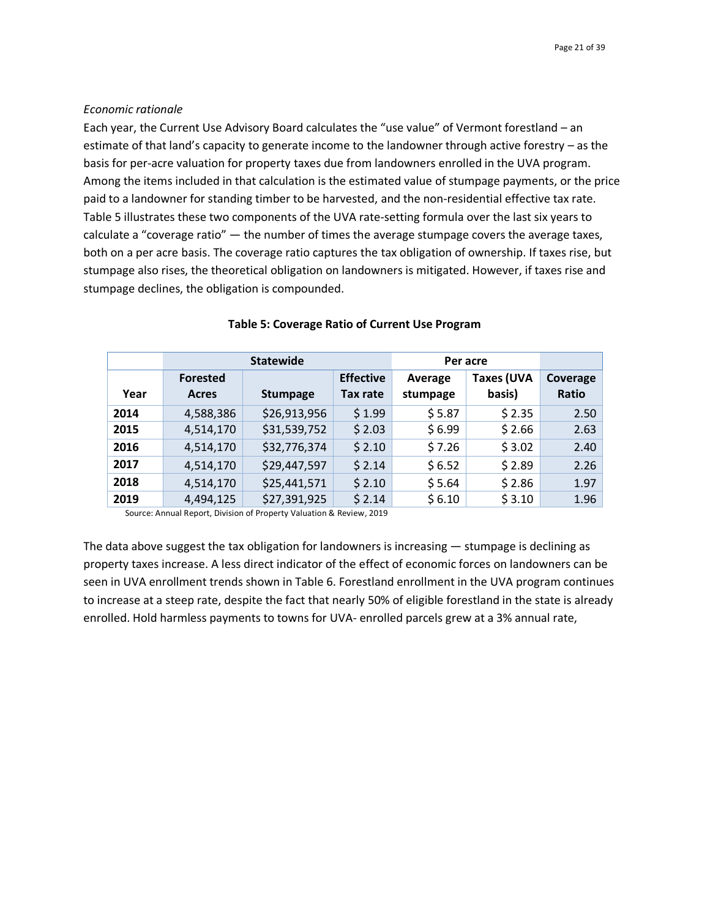#### *Economic rationale*

Each year, the Current Use Advisory Board calculates the "use value" of Vermont forestland – an estimate of that land's capacity to generate income to the landowner through active forestry – as the basis for per-acre valuation for property taxes due from landowners enrolled in the UVA program. Among the items included in that calculation is the estimated value of stumpage payments, or the price paid to a landowner for standing timber to be harvested, and the non-residential effective tax rate. Table 5 illustrates these two components of the UVA rate-setting formula over the last six years to calculate a "coverage ratio" — the number of times the average stumpage covers the average taxes, both on a per acre basis. The coverage ratio captures the tax obligation of ownership. If taxes rise, but stumpage also rises, the theoretical obligation on landowners is mitigated. However, if taxes rise and stumpage declines, the obligation is compounded.

|      |                          | <b>Statewide</b> | Per acre                     |                     |                             |                          |
|------|--------------------------|------------------|------------------------------|---------------------|-----------------------------|--------------------------|
| Year | <b>Forested</b><br>Acres | <b>Stumpage</b>  | <b>Effective</b><br>Tax rate | Average<br>stumpage | <b>Taxes (UVA</b><br>basis) | Coverage<br><b>Ratio</b> |
| 2014 | 4,588,386                | \$26,913,956     | \$1.99                       | \$5.87              | \$2.35                      | 2.50                     |
| 2015 | 4,514,170                | \$31,539,752     | \$2.03                       | \$6.99              | \$2.66                      | 2.63                     |
| 2016 | 4,514,170                | \$32,776,374     | \$2.10                       | \$7.26              | \$3.02                      | 2.40                     |
| 2017 | 4,514,170                | \$29,447,597     | \$2.14                       | \$6.52              | \$2.89                      | 2.26                     |
| 2018 | 4,514,170                | \$25,441,571     | \$2.10                       | \$5.64              | \$2.86                      | 1.97                     |
| 2019 | 4,494,125                | \$27,391,925     | \$2.14                       | \$6.10              | \$3.10                      | 1.96                     |

#### **Table 5: Coverage Ratio of Current Use Program**

Source: Annual Report, Division of Property Valuation & Review, 2019

The data above suggest the tax obligation for landowners is increasing — stumpage is declining as property taxes increase. A less direct indicator of the effect of economic forces on landowners can be seen in UVA enrollment trends shown in Table 6. Forestland enrollment in the UVA program continues to increase at a steep rate, despite the fact that nearly 50% of eligible forestland in the state is already enrolled. Hold harmless payments to towns for UVA- enrolled parcels grew at a 3% annual rate,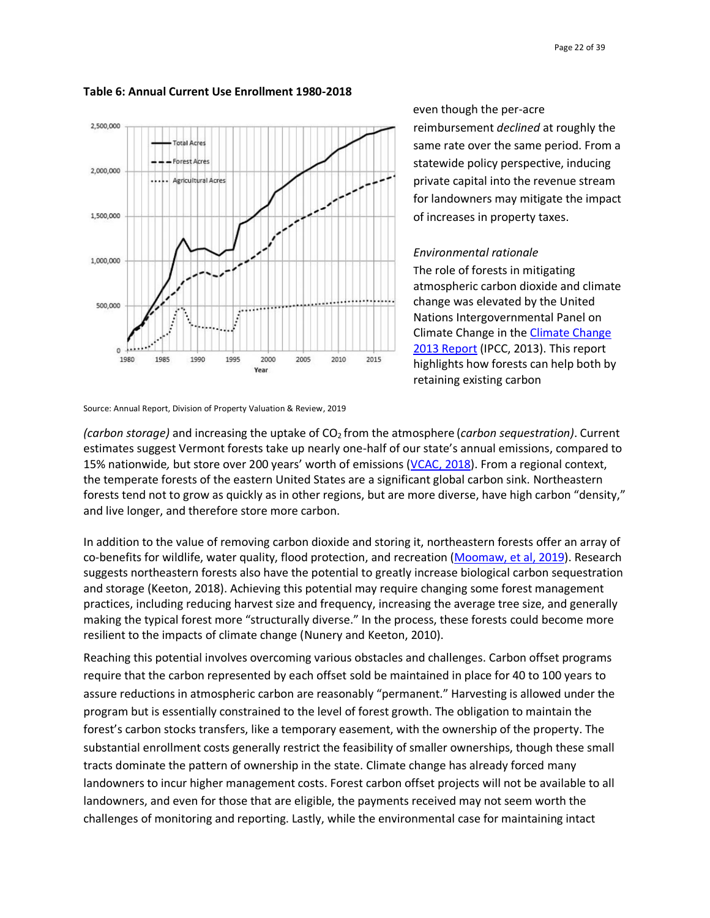

#### **Table 6: Annual Current Use Enrollment 1980-2018**

 even though the per-acre reimbursement *declined* at roughly the same rate over the same period. From a statewide policy perspective, inducing private capital into the revenue stream for landowners may mitigate the impact of increases in property taxes.

#### *Environmental rationale*

The role of forests in mitigating atmospheric carbon dioxide and climate change was elevated by the United Nations Intergovernmental Panel on Climate Change in the [Climate Change](https://www.ipcc.ch/report/ar5/wg1/)  2013 [Report](https://www.ipcc.ch/report/ar5/wg1/) (IPCC, 2013). This report highlights how forests can help both by retaining existing carbon

Source: Annual Report, Division of Property Valuation & Review, 2019

*(carbon storage)* and increasing the uptake of CO2 from the atmosphere (*carbon sequestration)*. Current estimates suggest Vermont forests take up nearly one-half of our state's annual emissions, compared to 15% nationwide*,* but store over 200 years' worth of emissions ([VCAC, 2018\)](https://www.google.com/url?sa=t&rct=j&q=&esrc=s&source=web&cd=3&cad=rja&uact=8&ved=2ahUKEwj4zoeThsflAhVBUt8KHWiCBE0QFjACegQIAxAC&url=https%3A%2F%2Fanr.vermont.gov%2Fsites%2Fanr%2Ffiles%2FFinal%2520VCAC%2520Report.pdf&usg=AOvVaw1YiCWXO3bYQKN9Mqz1OWq2). From a regional context, the temperate forests of the eastern United States are a significant global carbon sink. Northeastern forests tend not to grow as quickly as in other regions, but are more diverse, have high carbon "density," and live longer, and therefore store more carbon.

In addition to the value of removing carbon dioxide and storing it, northeastern forests offer an array of co-benefits for wildlife, water quality, flood protection, and recreation [\(Moomaw, et al, 2019\)](https://www.frontiersin.org/articles/10.3389/ffgc.2019.00027/full). Research suggests northeastern forests also have the potential to greatly increase biological carbon sequestration and storage (Keeton, 2018). Achieving this potential may require changing some forest management practices, including reducing harvest size and frequency, increasing the average tree size, and generally making the typical forest more "structurally diverse." In the process, these forests could become more resilient to the impacts of climate change (Nunery and Keeton, 2010).

Reaching this potential involves overcoming various obstacles and challenges. Carbon offset programs require that the carbon represented by each offset sold be maintained in place for 40 to 100 years to assure reductions in atmospheric carbon are reasonably "permanent." Harvesting is allowed under the program but is essentially constrained to the level of forest growth. The obligation to maintain the forest's carbon stocks transfers, like a temporary easement, with the ownership of the property. The substantial enrollment costs generally restrict the feasibility of smaller ownerships, though these small tracts dominate the pattern of ownership in the state. Climate change has already forced many landowners to incur higher management costs. Forest carbon offset projects will not be available to all landowners, and even for those that are eligible, the payments received may not seem worth the challenges of monitoring and reporting. Lastly, while the environmental case for maintaining intact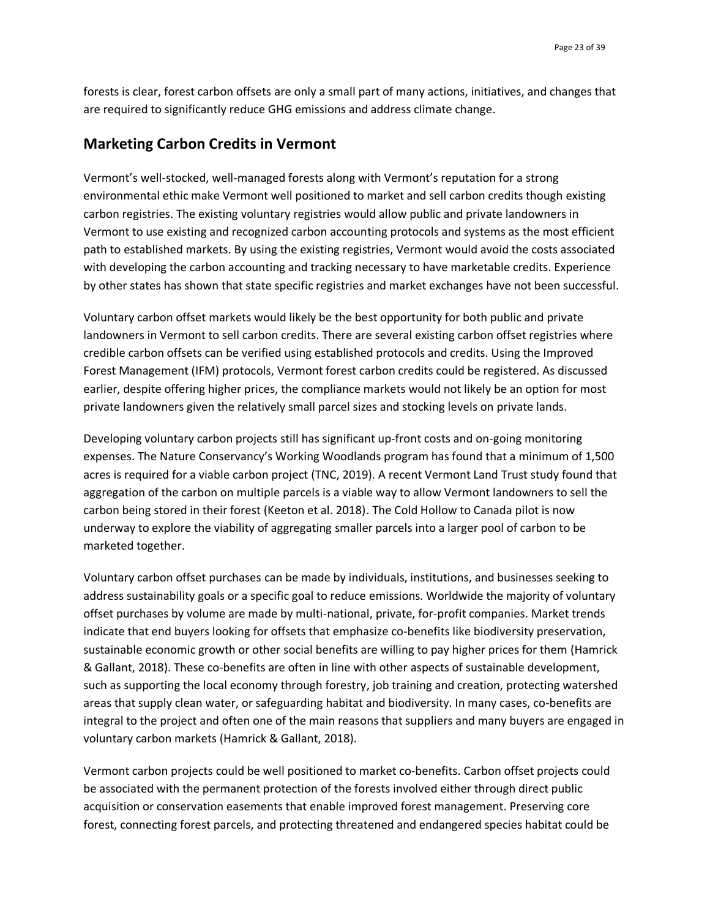forests is clear, forest carbon offsets are only a small part of many actions, initiatives, and changes that are required to significantly reduce GHG emissions and address climate change.

#### **Marketing Carbon Credits in Vermont**

Vermont's well-stocked, well-managed forests along with Vermont's reputation for a strong environmental ethic make Vermont well positioned to market and sell carbon credits though existing carbon registries. The existing voluntary registries would allow public and private landowners in Vermont to use existing and recognized carbon accounting protocols and systems as the most efficient path to established markets. By using the existing registries, Vermont would avoid the costs associated with developing the carbon accounting and tracking necessary to have marketable credits. Experience by other states has shown that state specific registries and market exchanges have not been successful.

Voluntary carbon offset markets would likely be the best opportunity for both public and private landowners in Vermont to sell carbon credits. There are several existing carbon offset registries where credible carbon offsets can be verified using established protocols and credits. Using the Improved Forest Management (IFM) protocols, Vermont forest carbon credits could be registered. As discussed earlier, despite offering higher prices, the compliance markets would not likely be an option for most private landowners given the relatively small parcel sizes and stocking levels on private lands.

Developing voluntary carbon projects still has significant up-front costs and on-going monitoring expenses. The Nature Conservancy's Working Woodlands program has found that a minimum of 1,500 acres is required for a viable carbon project (TNC, 2019). A recent Vermont Land Trust study found that aggregation of the carbon on multiple parcels is a viable way to allow Vermont landowners to sell the carbon being stored in their forest (Keeton et al. 2018). The Cold Hollow to Canada pilot is now underway to explore the viability of aggregating smaller parcels into a larger pool of carbon to be marketed together.

Voluntary carbon offset purchases can be made by individuals, institutions, and businesses seeking to address sustainability goals or a specific goal to reduce emissions. Worldwide the majority of voluntary offset purchases by volume are made by multi-national, private, for-profit companies. Market trends indicate that end buyers looking for offsets that emphasize co-benefits like biodiversity preservation, sustainable economic growth or other social benefits are willing to pay higher prices for them (Hamrick & Gallant, 2018). These co-benefits are often in line with other aspects of sustainable development, such as supporting the local economy through forestry, job training and creation, protecting watershed areas that supply clean water, or safeguarding habitat and biodiversity. In many cases, co-benefits are integral to the project and often one of the main reasons that suppliers and many buyers are engaged in voluntary carbon markets (Hamrick & Gallant, 2018).

Vermont carbon projects could be well positioned to market co-benefits. Carbon offset projects could be associated with the permanent protection of the forests involved either through direct public acquisition or conservation easements that enable improved forest management. Preserving core forest, connecting forest parcels, and protecting threatened and endangered species habitat could be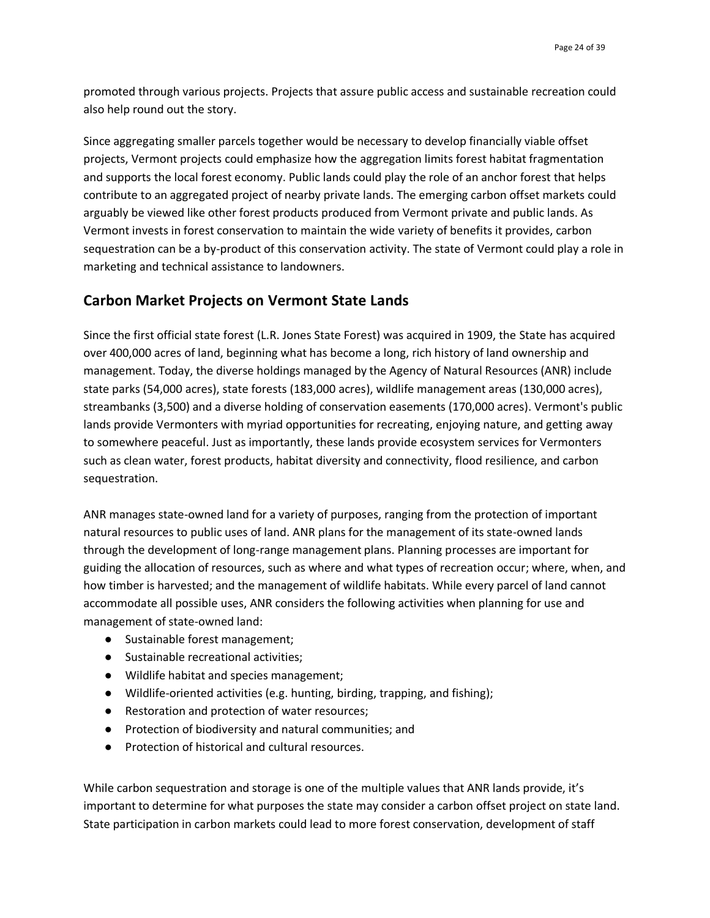promoted through various projects. Projects that assure public access and sustainable recreation could also help round out the story.

Since aggregating smaller parcels together would be necessary to develop financially viable offset projects, Vermont projects could emphasize how the aggregation limits forest habitat fragmentation and supports the local forest economy. Public lands could play the role of an anchor forest that helps contribute to an aggregated project of nearby private lands. The emerging carbon offset markets could arguably be viewed like other forest products produced from Vermont private and public lands. As Vermont invests in forest conservation to maintain the wide variety of benefits it provides, carbon sequestration can be a by-product of this conservation activity. The state of Vermont could play a role in marketing and technical assistance to landowners.

# **Carbon Market Projects on Vermont State Lands**

Since the first official state forest (L.R. Jones State Forest) was acquired in 1909, the State has acquired over 400,000 acres of land, beginning what has become a long, rich history of land ownership and management. Today, the diverse holdings managed by the Agency of Natural Resources (ANR) include state parks (54,000 acres), state forests (183,000 acres), wildlife management areas (130,000 acres), streambanks (3,500) and a diverse holding of conservation easements (170,000 acres). Vermont's public lands provide Vermonters with myriad opportunities for recreating, enjoying nature, and getting away to somewhere peaceful. Just as importantly, these lands provide ecosystem services for Vermonters such as clean water, forest products, habitat diversity and connectivity, flood resilience, and carbon sequestration.

ANR manages state-owned land for a variety of purposes, ranging from the protection of important natural resources to public uses of land. ANR plans for the management of its state-owned lands through the development of long-range management plans. Planning processes are important for guiding the allocation of resources, such as where and what types of recreation occur; where, when, and how timber is harvested; and the management of wildlife habitats. While every parcel of land cannot accommodate all possible uses, ANR considers the following activities when planning for use and management of state-owned land:

- Sustainable forest management;
- Sustainable recreational activities;
- Wildlife habitat and species management;
- Wildlife-oriented activities (e.g. hunting, birding, trapping, and fishing);
- Restoration and protection of water resources;
- Protection of biodiversity and natural communities; and
- Protection of historical and cultural resources.

While carbon sequestration and storage is one of the multiple values that ANR lands provide, it's important to determine for what purposes the state may consider a carbon offset project on state land. State participation in carbon markets could lead to more forest conservation, development of staff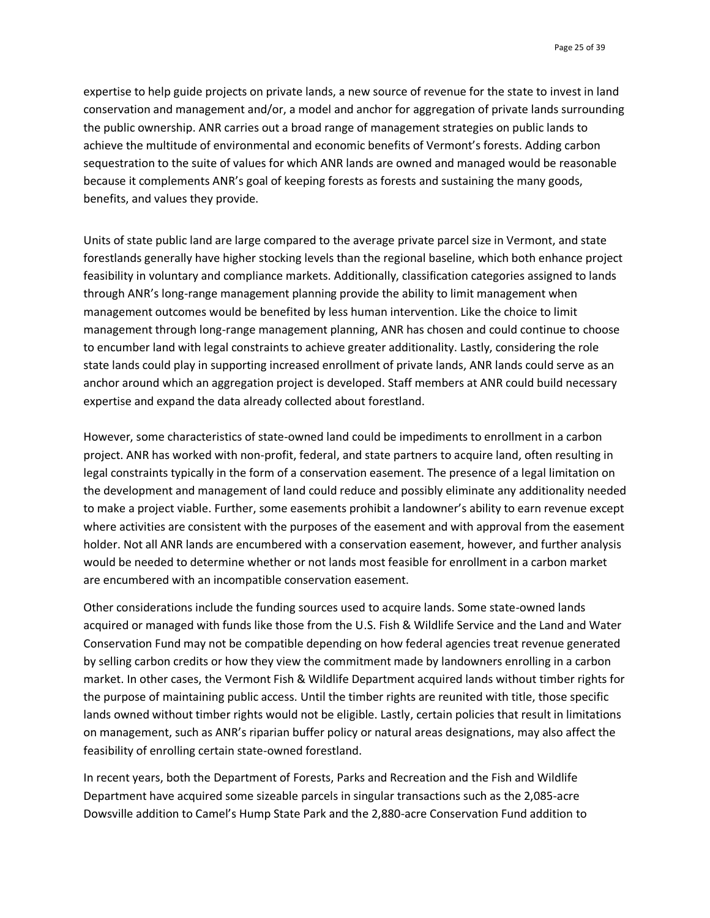expertise to help guide projects on private lands, a new source of revenue for the state to invest in land conservation and management and/or, a model and anchor for aggregation of private lands surrounding the public ownership. ANR carries out a broad range of management strategies on public lands to achieve the multitude of environmental and economic benefits of Vermont's forests. Adding carbon sequestration to the suite of values for which ANR lands are owned and managed would be reasonable because it complements ANR's goal of keeping forests as forests and sustaining the many goods, benefits, and values they provide.

Units of state public land are large compared to the average private parcel size in Vermont, and state forestlands generally have higher stocking levels than the regional baseline, which both enhance project feasibility in voluntary and compliance markets. Additionally, classification categories assigned to lands through ANR's long-range management planning provide the ability to limit management when management outcomes would be benefited by less human intervention. Like the choice to limit management through long-range management planning, ANR has chosen and could continue to choose to encumber land with legal constraints to achieve greater additionality. Lastly, considering the role state lands could play in supporting increased enrollment of private lands, ANR lands could serve as an anchor around which an aggregation project is developed. Staff members at ANR could build necessary expertise and expand the data already collected about forestland.

However, some characteristics of state-owned land could be impediments to enrollment in a carbon project. ANR has worked with non-profit, federal, and state partners to acquire land, often resulting in legal constraints typically in the form of a conservation easement. The presence of a legal limitation on the development and management of land could reduce and possibly eliminate any additionality needed to make a project viable. Further, some easements prohibit a landowner's ability to earn revenue except where activities are consistent with the purposes of the easement and with approval from the easement holder. Not all ANR lands are encumbered with a conservation easement, however, and further analysis would be needed to determine whether or not lands most feasible for enrollment in a carbon market are encumbered with an incompatible conservation easement.

Other considerations include the funding sources used to acquire lands. Some state-owned lands acquired or managed with funds like those from the U.S. Fish & Wildlife Service and the Land and Water Conservation Fund may not be compatible depending on how federal agencies treat revenue generated by selling carbon credits or how they view the commitment made by landowners enrolling in a carbon market. In other cases, the Vermont Fish & Wildlife Department acquired lands without timber rights for the purpose of maintaining public access. Until the timber rights are reunited with title, those specific lands owned without timber rights would not be eligible. Lastly, certain policies that result in limitations on management, such as ANR's riparian buffer policy or natural areas designations, may also affect the feasibility of enrolling certain state-owned forestland.

In recent years, both the Department of Forests, Parks and Recreation and the Fish and Wildlife Department have acquired some sizeable parcels in singular transactions such as the 2,085-acre Dowsville addition to Camel's Hump State Park and the 2,880-acre Conservation Fund addition to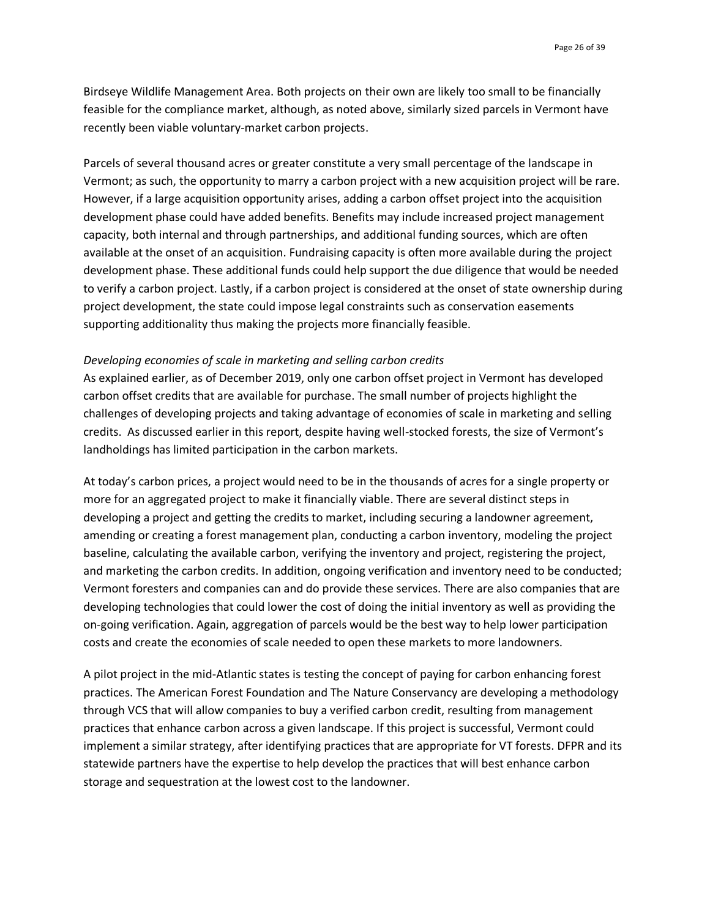Birdseye Wildlife Management Area. Both projects on their own are likely too small to be financially feasible for the compliance market, although, as noted above, similarly sized parcels in Vermont have recently been viable voluntary-market carbon projects.

Parcels of several thousand acres or greater constitute a very small percentage of the landscape in Vermont; as such, the opportunity to marry a carbon project with a new acquisition project will be rare. However, if a large acquisition opportunity arises, adding a carbon offset project into the acquisition development phase could have added benefits. Benefits may include increased project management capacity, both internal and through partnerships, and additional funding sources, which are often available at the onset of an acquisition. Fundraising capacity is often more available during the project development phase. These additional funds could help support the due diligence that would be needed to verify a carbon project. Lastly, if a carbon project is considered at the onset of state ownership during project development, the state could impose legal constraints such as conservation easements supporting additionality thus making the projects more financially feasible.

#### *Developing economies of scale in marketing and selling carbon credits*

As explained earlier, as of December 2019, only one carbon offset project in Vermont has developed carbon offset credits that are available for purchase. The small number of projects highlight the challenges of developing projects and taking advantage of economies of scale in marketing and selling credits. As discussed earlier in this report, despite having well-stocked forests, the size of Vermont's landholdings has limited participation in the carbon markets.

At today's carbon prices, a project would need to be in the thousands of acres for a single property or more for an aggregated project to make it financially viable. There are several distinct steps in developing a project and getting the credits to market, including securing a landowner agreement, amending or creating a forest management plan, conducting a carbon inventory, modeling the project baseline, calculating the available carbon, verifying the inventory and project, registering the project, and marketing the carbon credits. In addition, ongoing verification and inventory need to be conducted; Vermont foresters and companies can and do provide these services. There are also companies that are developing technologies that could lower the cost of doing the initial inventory as well as providing the on-going verification. Again, aggregation of parcels would be the best way to help lower participation costs and create the economies of scale needed to open these markets to more landowners.

A pilot project in the mid-Atlantic states is testing the concept of paying for carbon enhancing forest practices. The American Forest Foundation and The Nature Conservancy are developing a methodology through VCS that will allow companies to buy a verified carbon credit, resulting from management practices that enhance carbon across a given landscape. If this project is successful, Vermont could implement a similar strategy, after identifying practices that are appropriate for VT forests. DFPR and its statewide partners have the expertise to help develop the practices that will best enhance carbon storage and sequestration at the lowest cost to the landowner.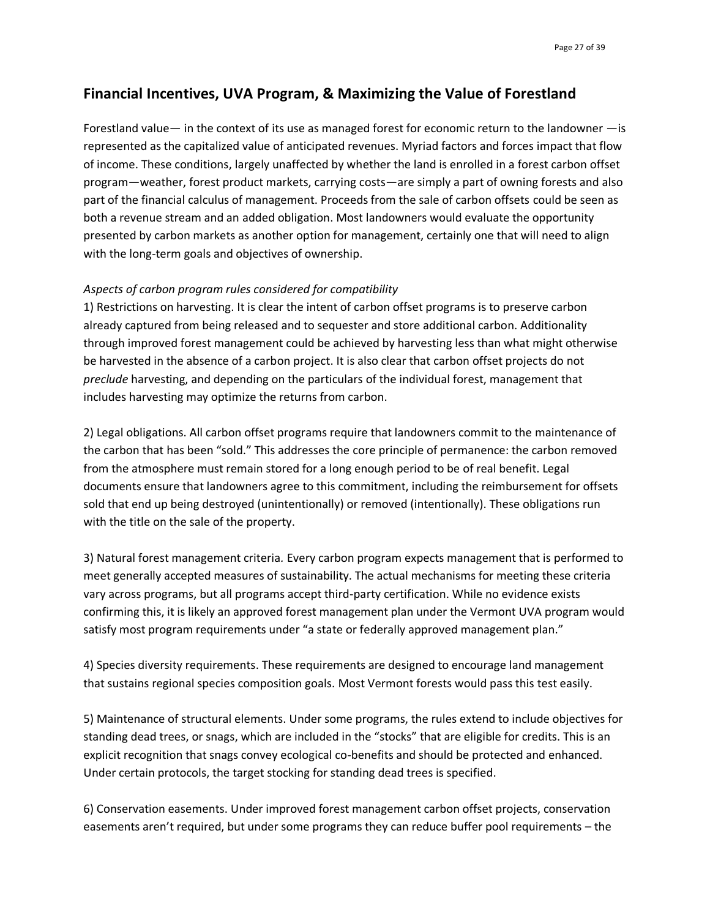# **Financial Incentives, UVA Program, & Maximizing the Value of Forestland**

Forestland value— in the context of its use as managed forest for economic return to the landowner —is represented as the capitalized value of anticipated revenues. Myriad factors and forces impact that flow of income. These conditions, largely unaffected by whether the land is enrolled in a forest carbon offset program—weather, forest product markets, carrying costs—are simply a part of owning forests and also part of the financial calculus of management. Proceeds from the sale of carbon offsets could be seen as both a revenue stream and an added obligation. Most landowners would evaluate the opportunity presented by carbon markets as another option for management, certainly one that will need to align with the long-term goals and objectives of ownership.

#### *Aspects of carbon program rules considered for compatibility*

1) Restrictions on harvesting. It is clear the intent of carbon offset programs is to preserve carbon already captured from being released and to sequester and store additional carbon. Additionality through improved forest management could be achieved by harvesting less than what might otherwise be harvested in the absence of a carbon project. It is also clear that carbon offset projects do not *preclude* harvesting, and depending on the particulars of the individual forest, management that includes harvesting may optimize the returns from carbon.

2) Legal obligations. All carbon offset programs require that landowners commit to the maintenance of the carbon that has been "sold." This addresses the core principle of permanence: the carbon removed from the atmosphere must remain stored for a long enough period to be of real benefit. Legal documents ensure that landowners agree to this commitment, including the reimbursement for offsets sold that end up being destroyed (unintentionally) or removed (intentionally). These obligations run with the title on the sale of the property.

3) Natural forest management criteria*.* Every carbon program expects management that is performed to meet generally accepted measures of sustainability. The actual mechanisms for meeting these criteria vary across programs, but all programs accept third-party certification. While no evidence exists confirming this, it is likely an approved forest management plan under the Vermont UVA program would satisfy most program requirements under "a state or federally approved management plan."

4) Species diversity requirements. These requirements are designed to encourage land management that sustains regional species composition goals. Most Vermont forests would pass this test easily.

5) Maintenance of structural elements. Under some programs, the rules extend to include objectives for standing dead trees, or snags, which are included in the "stocks" that are eligible for credits. This is an explicit recognition that snags convey ecological co-benefits and should be protected and enhanced. Under certain protocols, the target stocking for standing dead trees is specified.

6) Conservation easements. Under improved forest management carbon offset projects, conservation easements aren't required, but under some programs they can reduce buffer pool requirements – the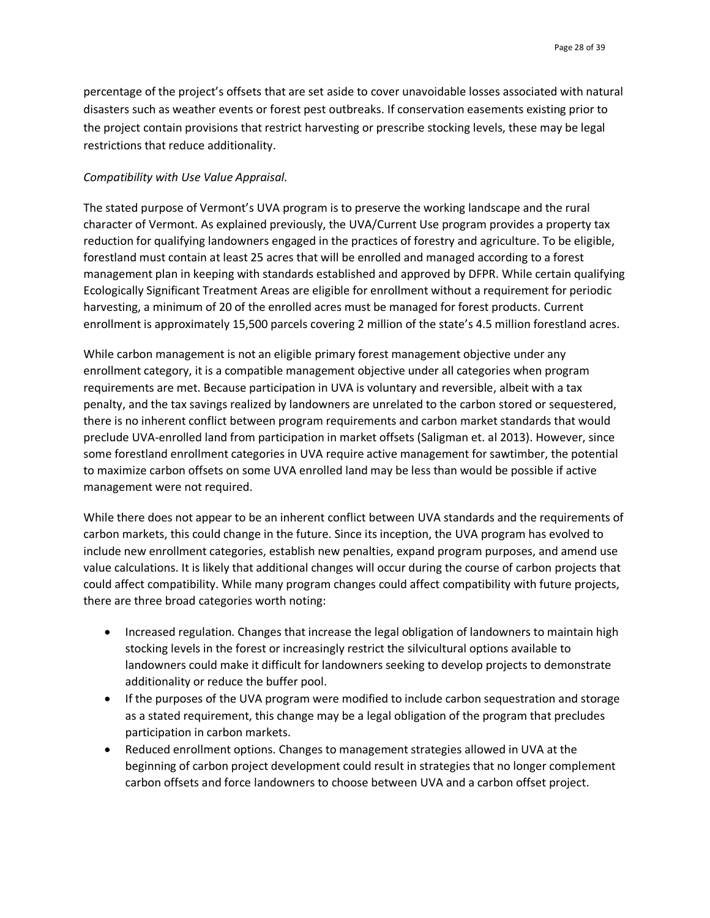percentage of the project's offsets that are set aside to cover unavoidable losses associated with natural disasters such as weather events or forest pest outbreaks. If conservation easements existing prior to the project contain provisions that restrict harvesting or prescribe stocking levels, these may be legal restrictions that reduce additionality.

#### *Compatibility with Use Value Appraisal.*

The stated purpose of Vermont's UVA program is to preserve the working landscape and the rural character of Vermont. As explained previously, the UVA/Current Use program provides a property tax reduction for qualifying landowners engaged in the practices of forestry and agriculture. To be eligible, forestland must contain at least 25 acres that will be enrolled and managed according to a forest management plan in keeping with standards established and approved by DFPR. While certain qualifying Ecologically Significant Treatment Areas are eligible for enrollment without a requirement for periodic harvesting, a minimum of 20 of the enrolled acres must be managed for forest products. Current enrollment is approximately 15,500 parcels covering 2 million of the state's 4.5 million forestland acres.

While carbon management is not an eligible primary forest management objective under any enrollment category, it is a compatible management objective under all categories when program requirements are met. Because participation in UVA is voluntary and reversible, albeit with a tax penalty, and the tax savings realized by landowners are unrelated to the carbon stored or sequestered, there is no inherent conflict between program requirements and carbon market standards that would preclude UVA-enrolled land from participation in market offsets (Saligman et. al 2013). However, since some forestland enrollment categories in UVA require active management for sawtimber, the potential to maximize carbon offsets on some UVA enrolled land may be less than would be possible if active management were not required.

While there does not appear to be an inherent conflict between UVA standards and the requirements of carbon markets, this could change in the future. Since its inception, the UVA program has evolved to include new enrollment categories, establish new penalties, expand program purposes, and amend use value calculations. It is likely that additional changes will occur during the course of carbon projects that could affect compatibility. While many program changes could affect compatibility with future projects, there are three broad categories worth noting:

- Increased regulation. Changes that increase the legal obligation of landowners to maintain high stocking levels in the forest or increasingly restrict the silvicultural options available to landowners could make it difficult for landowners seeking to develop projects to demonstrate additionality or reduce the buffer pool.
- If the purposes of the UVA program were modified to include carbon sequestration and storage as a stated requirement, this change may be a legal obligation of the program that precludes participation in carbon markets.
- Reduced enrollment options. Changes to management strategies allowed in UVA at the beginning of carbon project development could result in strategies that no longer complement carbon offsets and force landowners to choose between UVA and a carbon offset project.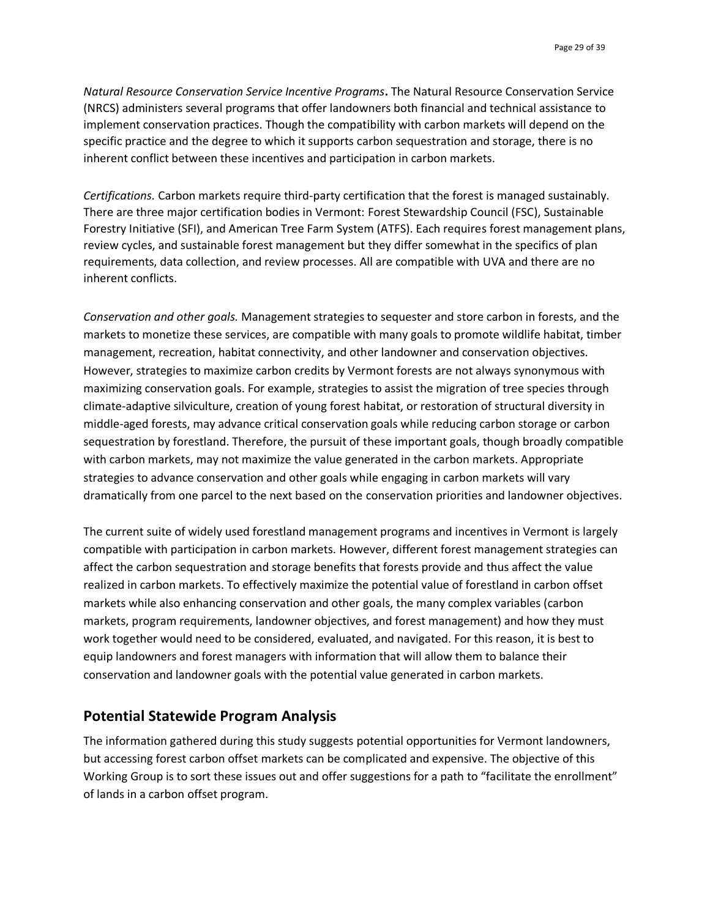*Natural Resource Conservation Service Incentive Programs***.** The Natural Resource Conservation Service (NRCS) administers several programs that offer landowners both financial and technical assistance to implement conservation practices. Though the compatibility with carbon markets will depend on the specific practice and the degree to which it supports carbon sequestration and storage, there is no inherent conflict between these incentives and participation in carbon markets.

*Certifications.* Carbon markets require third-party certification that the forest is managed sustainably. There are three major certification bodies in Vermont: Forest Stewardship Council (FSC), Sustainable Forestry Initiative (SFI), and American Tree Farm System (ATFS). Each requires forest management plans, review cycles, and sustainable forest management but they differ somewhat in the specifics of plan requirements, data collection, and review processes. All are compatible with UVA and there are no inherent conflicts.

*Conservation and other goals.* Management strategies to sequester and store carbon in forests, and the markets to monetize these services, are compatible with many goals to promote wildlife habitat, timber management, recreation, habitat connectivity, and other landowner and conservation objectives. However, strategies to maximize carbon credits by Vermont forests are not always synonymous with maximizing conservation goals. For example, strategies to assist the migration of tree species through climate-adaptive silviculture, creation of young forest habitat, or restoration of structural diversity in middle-aged forests, may advance critical conservation goals while reducing carbon storage or carbon sequestration by forestland. Therefore, the pursuit of these important goals, though broadly compatible with carbon markets, may not maximize the value generated in the carbon markets. Appropriate strategies to advance conservation and other goals while engaging in carbon markets will vary dramatically from one parcel to the next based on the conservation priorities and landowner objectives.

The current suite of widely used forestland management programs and incentives in Vermont is largely compatible with participation in carbon markets. However, different forest management strategies can affect the carbon sequestration and storage benefits that forests provide and thus affect the value realized in carbon markets. To effectively maximize the potential value of forestland in carbon offset markets while also enhancing conservation and other goals, the many complex variables (carbon markets, program requirements, landowner objectives, and forest management) and how they must work together would need to be considered, evaluated, and navigated. For this reason, it is best to equip landowners and forest managers with information that will allow them to balance their conservation and landowner goals with the potential value generated in carbon markets.

# **Potential Statewide Program Analysis**

The information gathered during this study suggests potential opportunities for Vermont landowners, but accessing forest carbon offset markets can be complicated and expensive. The objective of this Working Group is to sort these issues out and offer suggestions for a path to "facilitate the enrollment" of lands in a carbon offset program.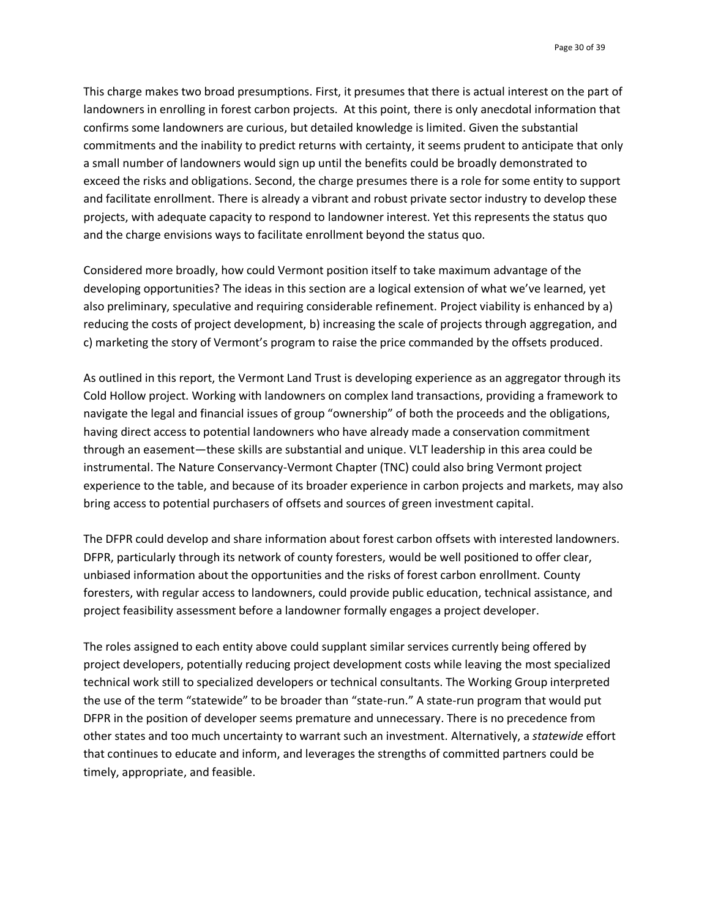Page 30 of 39

This charge makes two broad presumptions. First, it presumes that there is actual interest on the part of landowners in enrolling in forest carbon projects. At this point, there is only anecdotal information that confirms some landowners are curious, but detailed knowledge is limited. Given the substantial commitments and the inability to predict returns with certainty, it seems prudent to anticipate that only a small number of landowners would sign up until the benefits could be broadly demonstrated to exceed the risks and obligations. Second, the charge presumes there is a role for some entity to support and facilitate enrollment. There is already a vibrant and robust private sector industry to develop these projects, with adequate capacity to respond to landowner interest. Yet this represents the status quo and the charge envisions ways to facilitate enrollment beyond the status quo.

Considered more broadly, how could Vermont position itself to take maximum advantage of the developing opportunities? The ideas in this section are a logical extension of what we've learned, yet also preliminary, speculative and requiring considerable refinement. Project viability is enhanced by a) reducing the costs of project development, b) increasing the scale of projects through aggregation, and c) marketing the story of Vermont's program to raise the price commanded by the offsets produced.

As outlined in this report, the Vermont Land Trust is developing experience as an aggregator through its Cold Hollow project. Working with landowners on complex land transactions, providing a framework to navigate the legal and financial issues of group "ownership" of both the proceeds and the obligations, having direct access to potential landowners who have already made a conservation commitment through an easement—these skills are substantial and unique. VLT leadership in this area could be instrumental. The Nature Conservancy-Vermont Chapter (TNC) could also bring Vermont project experience to the table, and because of its broader experience in carbon projects and markets, may also bring access to potential purchasers of offsets and sources of green investment capital.

The DFPR could develop and share information about forest carbon offsets with interested landowners. DFPR, particularly through its network of county foresters, would be well positioned to offer clear, unbiased information about the opportunities and the risks of forest carbon enrollment. County foresters, with regular access to landowners, could provide public education, technical assistance, and project feasibility assessment before a landowner formally engages a project developer.

The roles assigned to each entity above could supplant similar services currently being offered by project developers, potentially reducing project development costs while leaving the most specialized technical work still to specialized developers or technical consultants. The Working Group interpreted the use of the term "statewide" to be broader than "state-run." A state-run program that would put DFPR in the position of developer seems premature and unnecessary. There is no precedence from other states and too much uncertainty to warrant such an investment. Alternatively, a *statewide* effort that continues to educate and inform, and leverages the strengths of committed partners could be timely, appropriate, and feasible.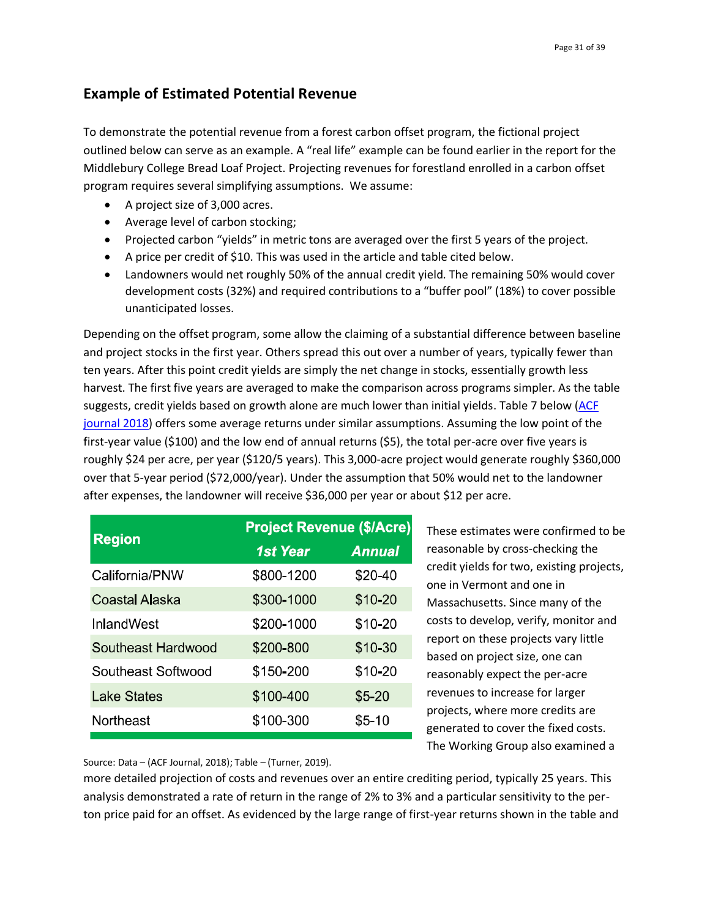# **Example of Estimated Potential Revenue**

To demonstrate the potential revenue from a forest carbon offset program, the fictional project outlined below can serve as an example. A "real life" example can be found earlier in the report for the Middlebury College Bread Loaf Project. Projecting revenues for forestland enrolled in a carbon offset program requires several simplifying assumptions. We assume:

- A project size of 3,000 acres.
- Average level of carbon stocking;
- Projected carbon "yields" in metric tons are averaged over the first 5 years of the project.
- A price per credit of \$10. This was used in the article and table cited below.
- Landowners would net roughly 50% of the annual credit yield. The remaining 50% would cover development costs (32%) and required contributions to a "buffer pool" (18%) to cover possible unanticipated losses.

Depending on the offset program, some allow the claiming of a substantial difference between baseline and project stocks in the first year. Others spread this out over a number of years, typically fewer than ten years. After this point credit yields are simply the net change in stocks, essentially growth less harvest. The first five years are averaged to make the comparison across programs simpler. As the table suggests, credit yields based on growth alone are much lower than initial yields. Table 7 below [\(ACF](http://www.nxtbook.com/naylor/AFFA/AFFA0017/index.php#/0)  [journal 2018\)](http://www.nxtbook.com/naylor/AFFA/AFFA0017/index.php#/0) offers some average returns under similar assumptions. Assuming the low point of the first-year value (\$100) and the low end of annual returns (\$5), the total per-acre over five years is roughly \$24 per acre, per year (\$120/5 years). This 3,000-acre project would generate roughly \$360,000 over that 5-year period (\$72,000/year). Under the assumption that 50% would net to the landowner after expenses, the landowner will receive \$36,000 per year or about \$12 per acre.

|                    | <b>Project Revenue (\$/Acre)</b> |               |  |  |  |
|--------------------|----------------------------------|---------------|--|--|--|
| <b>Region</b>      | <b>1st Year</b>                  | <b>Annual</b> |  |  |  |
| California/PNW     | \$800-1200                       | \$20-40       |  |  |  |
| Coastal Alaska     | \$300-1000                       | \$10-20       |  |  |  |
| InlandWest         | \$200-1000                       | \$10-20       |  |  |  |
| Southeast Hardwood | \$200-800                        | \$10-30       |  |  |  |
| Southeast Softwood | \$150-200                        | \$10-20       |  |  |  |
| Lake States        | \$100-400                        | $$5 - 20$     |  |  |  |
| Northeast          | \$100-300                        | \$5-10        |  |  |  |

These estimates were confirmed to be reasonable by cross-checking the credit yields for two, existing projects, one in Vermont and one in Massachusetts. Since many of the costs to develop, verify, monitor and report on these projects vary little based on project size, one can reasonably expect the per-acre revenues to increase for larger projects, where more credits are generated to cover the fixed costs. The Working Group also examined a

Source: Data – (ACF Journal, 2018); Table – (Turner, 2019).

more detailed projection of costs and revenues over an entire crediting period, typically 25 years. This analysis demonstrated a rate of return in the range of 2% to 3% and a particular sensitivity to the perton price paid for an offset. As evidenced by the large range of first-year returns shown in the table and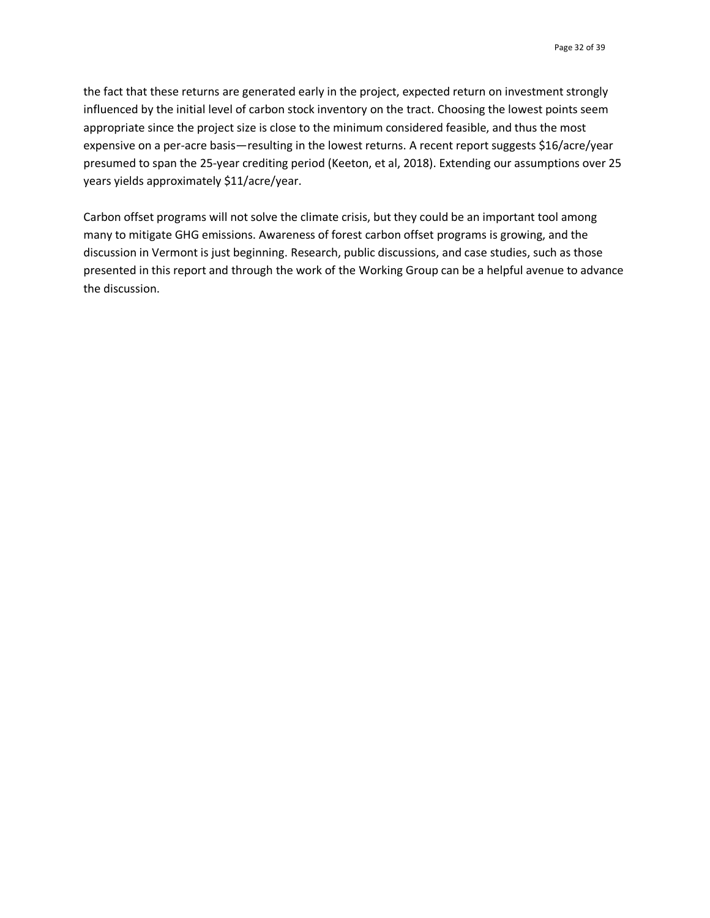the fact that these returns are generated early in the project, expected return on investment strongly influenced by the initial level of carbon stock inventory on the tract. Choosing the lowest points seem appropriate since the project size is close to the minimum considered feasible, and thus the most expensive on a per-acre basis—resulting in the lowest returns. A recent report suggests \$16/acre/year presumed to span the 25-year crediting period (Keeton, et al, 2018). Extending our assumptions over 25 years yields approximately \$11/acre/year.

Carbon offset programs will not solve the climate crisis, but they could be an important tool among many to mitigate GHG emissions. Awareness of forest carbon offset programs is growing, and the discussion in Vermont is just beginning. Research, public discussions, and case studies, such as those presented in this report and through the work of the Working Group can be a helpful avenue to advance the discussion.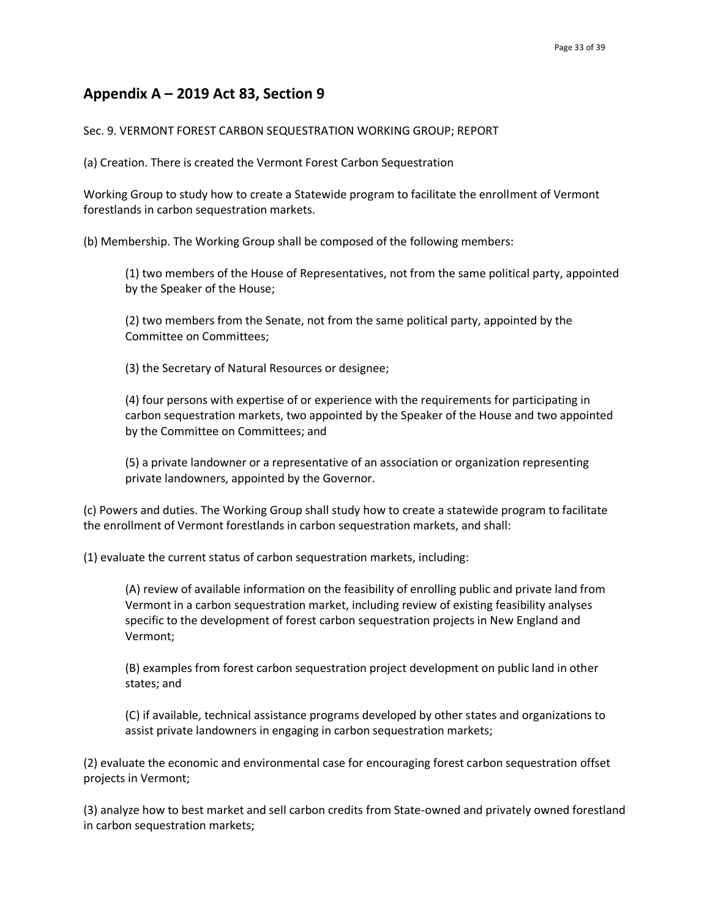# **Appendix A – 2019 Act 83, Section 9**

#### Sec. 9. VERMONT FOREST CARBON SEQUESTRATION WORKING GROUP; REPORT

(a) Creation. There is created the Vermont Forest Carbon Sequestration

Working Group to study how to create a Statewide program to facilitate the enrollment of Vermont forestlands in carbon sequestration markets.

(b) Membership. The Working Group shall be composed of the following members:

(1) two members of the House of Representatives, not from the same political party, appointed by the Speaker of the House;

(2) two members from the Senate, not from the same political party, appointed by the Committee on Committees;

(3) the Secretary of Natural Resources or designee;

(4) four persons with expertise of or experience with the requirements for participating in carbon sequestration markets, two appointed by the Speaker of the House and two appointed by the Committee on Committees; and

(5) a private landowner or a representative of an association or organization representing private landowners, appointed by the Governor.

(c) Powers and duties. The Working Group shall study how to create a statewide program to facilitate the enrollment of Vermont forestlands in carbon sequestration markets, and shall:

(1) evaluate the current status of carbon sequestration markets, including:

(A) review of available information on the feasibility of enrolling public and private land from Vermont in a carbon sequestration market, including review of existing feasibility analyses specific to the development of forest carbon sequestration projects in New England and Vermont;

(B) examples from forest carbon sequestration project development on public land in other states; and

(C) if available, technical assistance programs developed by other states and organizations to assist private landowners in engaging in carbon sequestration markets;

(2) evaluate the economic and environmental case for encouraging forest carbon sequestration offset projects in Vermont;

(3) analyze how to best market and sell carbon credits from State-owned and privately owned forestland in carbon sequestration markets;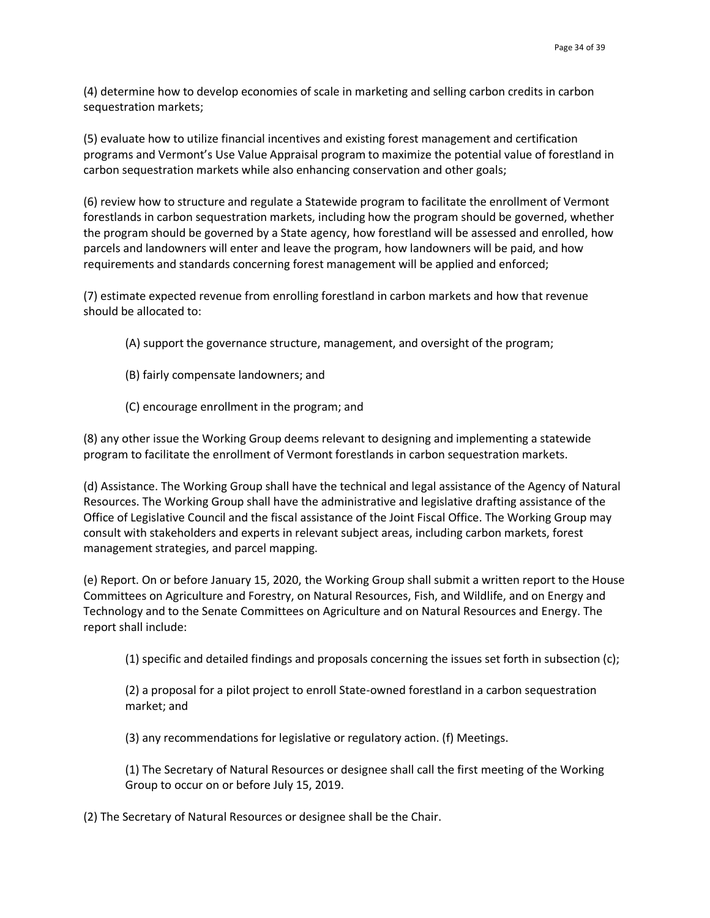(4) determine how to develop economies of scale in marketing and selling carbon credits in carbon sequestration markets;

(5) evaluate how to utilize financial incentives and existing forest management and certification programs and Vermont's Use Value Appraisal program to maximize the potential value of forestland in carbon sequestration markets while also enhancing conservation and other goals;

(6) review how to structure and regulate a Statewide program to facilitate the enrollment of Vermont forestlands in carbon sequestration markets, including how the program should be governed, whether the program should be governed by a State agency, how forestland will be assessed and enrolled, how parcels and landowners will enter and leave the program, how landowners will be paid, and how requirements and standards concerning forest management will be applied and enforced;

(7) estimate expected revenue from enrolling forestland in carbon markets and how that revenue should be allocated to:

- (A) support the governance structure, management, and oversight of the program;
- (B) fairly compensate landowners; and
- (C) encourage enrollment in the program; and

(8) any other issue the Working Group deems relevant to designing and implementing a statewide program to facilitate the enrollment of Vermont forestlands in carbon sequestration markets.

(d) Assistance. The Working Group shall have the technical and legal assistance of the Agency of Natural Resources. The Working Group shall have the administrative and legislative drafting assistance of the Office of Legislative Council and the fiscal assistance of the Joint Fiscal Office. The Working Group may consult with stakeholders and experts in relevant subject areas, including carbon markets, forest management strategies, and parcel mapping.

(e) Report. On or before January 15, 2020, the Working Group shall submit a written report to the House Committees on Agriculture and Forestry, on Natural Resources, Fish, and Wildlife, and on Energy and Technology and to the Senate Committees on Agriculture and on Natural Resources and Energy. The report shall include:

(1) specific and detailed findings and proposals concerning the issues set forth in subsection (c);

(2) a proposal for a pilot project to enroll State-owned forestland in a carbon sequestration market; and

(3) any recommendations for legislative or regulatory action. (f) Meetings.

(1) The Secretary of Natural Resources or designee shall call the first meeting of the Working Group to occur on or before July 15, 2019.

(2) The Secretary of Natural Resources or designee shall be the Chair.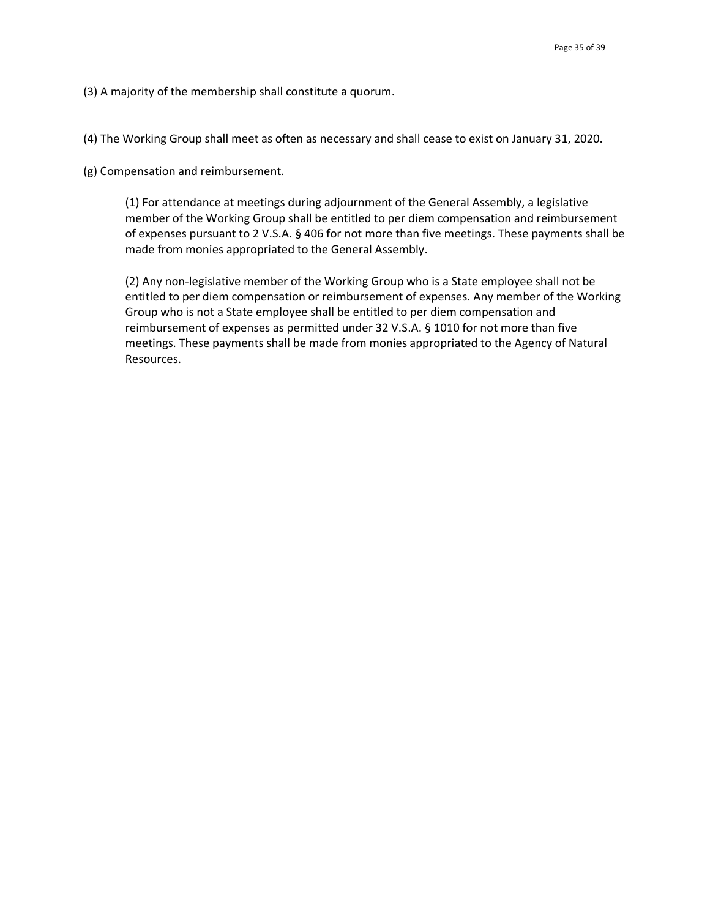(3) A majority of the membership shall constitute a quorum.

(4) The Working Group shall meet as often as necessary and shall cease to exist on January 31, 2020.

(g) Compensation and reimbursement.

(1) For attendance at meetings during adjournment of the General Assembly, a legislative member of the Working Group shall be entitled to per diem compensation and reimbursement of expenses pursuant to 2 V.S.A. § 406 for not more than five meetings. These payments shall be made from monies appropriated to the General Assembly.

(2) Any non-legislative member of the Working Group who is a State employee shall not be entitled to per diem compensation or reimbursement of expenses. Any member of the Working Group who is not a State employee shall be entitled to per diem compensation and reimbursement of expenses as permitted under 32 V.S.A. § 1010 for not more than five meetings. These payments shall be made from monies appropriated to the Agency of Natural Resources.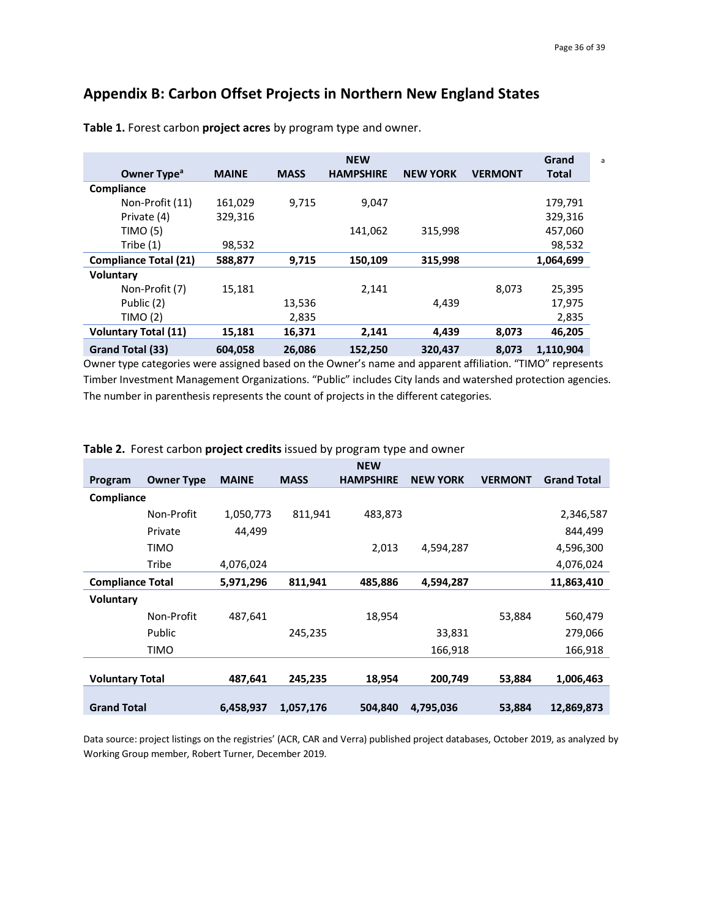# **Appendix B: Carbon Offset Projects in Northern New England States**

|                              |              |             | <b>NEW</b>       |                 |                | Grand        |
|------------------------------|--------------|-------------|------------------|-----------------|----------------|--------------|
| Owner Type <sup>a</sup>      | <b>MAINE</b> | <b>MASS</b> | <b>HAMPSHIRE</b> | <b>NEW YORK</b> | <b>VERMONT</b> | <b>Total</b> |
| Compliance                   |              |             |                  |                 |                |              |
| Non-Profit (11)              | 161,029      | 9.715       | 9,047            |                 |                | 179,791      |
| Private (4)                  | 329,316      |             |                  |                 |                | 329,316      |
| TIMO (5)                     |              |             | 141,062          | 315,998         |                | 457,060      |
| Tribe $(1)$                  | 98,532       |             |                  |                 |                | 98,532       |
| <b>Compliance Total (21)</b> | 588,877      | 9,715       | 150,109          | 315,998         |                | 1,064,699    |
| Voluntary                    |              |             |                  |                 |                |              |
| Non-Profit (7)               | 15,181       |             | 2.141            |                 | 8.073          | 25,395       |
| Public (2)                   |              | 13,536      |                  | 4.439           |                | 17,975       |
| TIMO (2)                     |              | 2,835       |                  |                 |                | 2,835        |
| <b>Voluntary Total (11)</b>  | 15,181       | 16,371      | 2,141            | 4,439           | 8,073          | 46,205       |
| Grand Total (33)             | 604,058      | 26.086      | 152,250          | 320,437         | 8.073          | 1,110,904    |

**Table 1.** Forest carbon **project acres** by program type and owner.

Owner type categories were assigned based on the Owner's name and apparent affiliation. "TIMO" represents Timber Investment Management Organizations. "Public" includes City lands and watershed protection agencies. The number in parenthesis represents the count of projects in the different categories.

|                         |                   |              |             | <b>NEW</b>       |                 |                |                    |
|-------------------------|-------------------|--------------|-------------|------------------|-----------------|----------------|--------------------|
| Program                 | <b>Owner Type</b> | <b>MAINE</b> | <b>MASS</b> | <b>HAMPSHIRE</b> | <b>NEW YORK</b> | <b>VERMONT</b> | <b>Grand Total</b> |
| Compliance              |                   |              |             |                  |                 |                |                    |
|                         | Non-Profit        | 1,050,773    | 811,941     | 483,873          |                 |                | 2,346,587          |
|                         | Private           | 44,499       |             |                  |                 |                | 844,499            |
|                         | TIMO              |              |             | 2,013            | 4,594,287       |                | 4,596,300          |
|                         | Tribe             | 4,076,024    |             |                  |                 |                | 4,076,024          |
| <b>Compliance Total</b> |                   | 5,971,296    | 811,941     | 485,886          | 4,594,287       |                | 11,863,410         |
| <b>Voluntary</b>        |                   |              |             |                  |                 |                |                    |
|                         | Non-Profit        | 487,641      |             | 18,954           |                 | 53,884         | 560,479            |
|                         | Public            |              | 245,235     |                  | 33,831          |                | 279,066            |
|                         | TIMO              |              |             |                  | 166,918         |                | 166,918            |
|                         |                   |              |             |                  |                 |                |                    |
| <b>Voluntary Total</b>  |                   | 487,641      | 245,235     | 18,954           | 200,749         | 53,884         | 1,006,463          |
|                         |                   |              |             |                  |                 |                |                    |
| <b>Grand Total</b>      |                   | 6,458,937    | 1,057,176   | 504,840          | 4,795,036       | 53,884         | 12,869,873         |

#### **Table 2.** Forest carbon **project credits** issued by program type and owner

Data source: project listings on the registries' (ACR, CAR and Verra) published project databases, October 2019, as analyzed by Working Group member, Robert Turner, December 2019.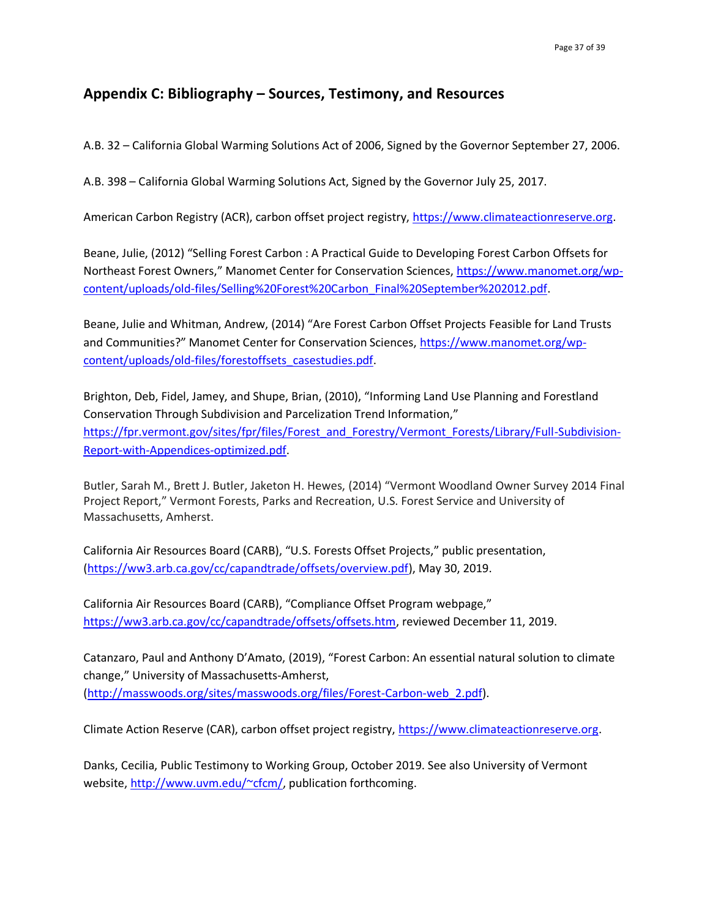## **Appendix C: Bibliography – Sources, Testimony, and Resources**

A.B. 32 – California Global Warming Solutions Act of 2006, Signed by the Governor September 27, 2006.

A.B. 398 – California Global Warming Solutions Act, Signed by the Governor July 25, 2017.

American Carbon Registry (ACR), carbon offset project registry, [https://www.climateactionreserve.org.](https://www.climateactionreserve.org/)

Beane, Julie, (2012) "Selling Forest Carbon : A Practical Guide to Developing Forest Carbon Offsets for Northeast Forest Owners," Manomet Center for Conservation Sciences, [https://www.manomet.org/wp](https://www.manomet.org/wp-content/uploads/old-files/Selling%20Forest%20Carbon_Final%20September%202012.pdf)[content/uploads/old-files/Selling%20Forest%20Carbon\\_Final%20September%202012.pdf.](https://www.manomet.org/wp-content/uploads/old-files/Selling%20Forest%20Carbon_Final%20September%202012.pdf)

Beane, Julie and Whitman, Andrew, (2014) "Are Forest Carbon Offset Projects Feasible for Land Trusts and Communities?" Manomet Center for Conservation Sciences, [https://www.manomet.org/wp](https://www.manomet.org/wp-content/uploads/old-files/forestoffsets_casestudies.pdf)[content/uploads/old-files/forestoffsets\\_casestudies.pdf.](https://www.manomet.org/wp-content/uploads/old-files/forestoffsets_casestudies.pdf)

Brighton, Deb, Fidel, Jamey, and Shupe, Brian, (2010), "Informing Land Use Planning and Forestland Conservation Through Subdivision and Parcelization Trend Information," [https://fpr.vermont.gov/sites/fpr/files/Forest\\_and\\_Forestry/Vermont\\_Forests/Library/Full-Subdivision-](https://fpr.vermont.gov/sites/fpr/files/Forest_and_Forestry/Vermont_Forests/Library/Full-Subdivision-Report-with-Appendices-optimized.pdf)[Report-with-Appendices-optimized.pdf.](https://fpr.vermont.gov/sites/fpr/files/Forest_and_Forestry/Vermont_Forests/Library/Full-Subdivision-Report-with-Appendices-optimized.pdf)

Butler, Sarah M., Brett J. Butler, Jaketon H. Hewes, (2014) "Vermont Woodland Owner Survey 2014 Final Project Report," Vermont Forests, Parks and Recreation, U.S. Forest Service and University of Massachusetts, Amherst.

California Air Resources Board (CARB), "U.S. Forests Offset Projects," public presentation, [\(https://ww3.arb.ca.gov/cc/capandtrade/offsets/overview.pdf\)](https://ww3.arb.ca.gov/cc/capandtrade/offsets/overview.pdf), May 30, 2019.

California Air Resources Board (CARB), "Compliance Offset Program webpage," [https://ww3.arb.ca.gov/cc/capandtrade/offsets/offsets.htm,](https://ww3.arb.ca.gov/cc/capandtrade/offsets/offsets.htm) reviewed December 11, 2019.

Catanzaro, Paul and Anthony D'Amato, (2019), "[Forest Carbon: An essential natural solution to climate](http://masswoods.org/caring-your-land/forest-carbon)  [change](http://masswoods.org/caring-your-land/forest-carbon)," University of Massachusetts-Amherst, [\(http://masswoods.org/sites/masswoods.org/files/Forest-Carbon-web\\_2.pdf\)](http://masswoods.org/sites/masswoods.org/files/Forest-Carbon-web_2.pdf).

Climate Action Reserve (CAR), carbon offset project registry, [https://www.climateactionreserve.org.](https://www.climateactionreserve.org/)

Danks, Cecilia, Public Testimony to Working Group, October 2019. See also University of Vermont website[, http://www.uvm.edu/~cfcm/,](http://www.uvm.edu/~cfcm/) publication forthcoming.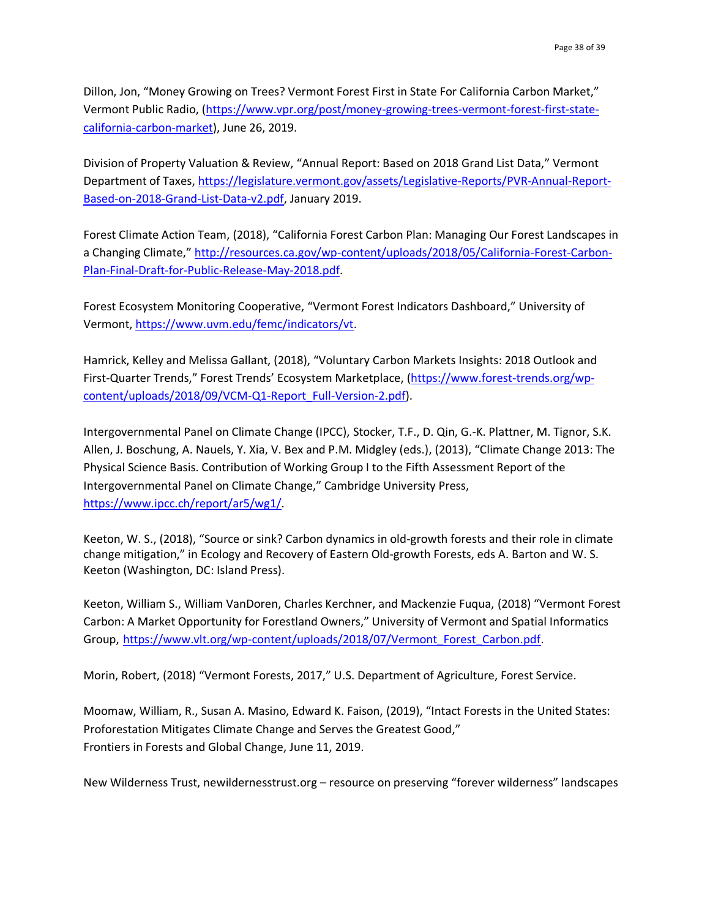Dillon, Jon, "Money Growing on Trees? Vermont Forest First in State For California Carbon Market," Vermont Public Radio, [\(https://www.vpr.org/post/money-growing-trees-vermont-forest-first-state](https://www.vpr.org/post/money-growing-trees-vermont-forest-first-state-california-carbon-market)[california-carbon-market\)](https://www.vpr.org/post/money-growing-trees-vermont-forest-first-state-california-carbon-market), June 26, 2019.

Division of Property Valuation & Review, "Annual Report: Based on 2018 Grand List Data," Vermont Department of Taxes, [https://legislature.vermont.gov/assets/Legislative-Reports/PVR-Annual-Report-](https://legislature.vermont.gov/assets/Legislative-Reports/PVR-Annual-Report-Based-on-2018-Grand-List-Data-v2.pdf)[Based-on-2018-Grand-List-Data-v2.pdf,](https://legislature.vermont.gov/assets/Legislative-Reports/PVR-Annual-Report-Based-on-2018-Grand-List-Data-v2.pdf) January 2019.

Forest Climate Action Team, (2018), "California Forest Carbon Plan: Managing Our Forest Landscapes in a Changing Climate," [http://resources.ca.gov/wp-content/uploads/2018/05/California-Forest-Carbon-](http://resources.ca.gov/wp-content/uploads/2018/05/California-Forest-Carbon-Plan-Final-Draft-for-Public-Release-May-2018.pdf)[Plan-Final-Draft-for-Public-Release-May-2018.pdf.](http://resources.ca.gov/wp-content/uploads/2018/05/California-Forest-Carbon-Plan-Final-Draft-for-Public-Release-May-2018.pdf)

Forest Ecosystem Monitoring Cooperative, "Vermont Forest Indicators Dashboard," University of Vermont, [https://www.uvm.edu/femc/indicators/vt.](https://www.uvm.edu/femc/indicators/vt)

Hamrick, Kelley and Melissa Gallant, (2018), "Voluntary Carbon Markets Insights: 2018 Outlook and First-Quarter Trends," Forest Trends' Ecosystem Marketplace, [\(https://www.forest-trends.org/wp](https://www.forest-trends.org/wp-content/uploads/2018/09/VCM-Q1-Report_Full-Version-2.pdf)[content/uploads/2018/09/VCM-Q1-Report\\_Full-Version-2.pdf\)](https://www.forest-trends.org/wp-content/uploads/2018/09/VCM-Q1-Report_Full-Version-2.pdf).

Intergovernmental Panel on Climate Change (IPCC), Stocker, T.F., D. Qin, G.-K. Plattner, M. Tignor, S.K. Allen, J. Boschung, A. Nauels, Y. Xia, V. Bex and P.M. Midgley (eds.), (2013), "Climate Change 2013: The Physical Science Basis. Contribution of Working Group I to the Fifth Assessment Report of the Intergovernmental Panel on Climate Change," Cambridge University Press, [https://www.ipcc.ch/report/ar5/wg1/.](https://www.ipcc.ch/report/ar5/wg1/)

Keeton, W. S., (2018), "Source or sink? Carbon dynamics in old-growth forests and their role in climate change mitigation," in Ecology and Recovery of Eastern Old-growth Forests, eds A. Barton and W. S. Keeton (Washington, DC: Island Press).

Keeton, William S., William VanDoren, Charles Kerchner, and Mackenzie Fuqua, (2018) "Vermont Forest Carbon: A Market Opportunity for Forestland Owners," University of Vermont and Spatial Informatics Group, [https://www.vlt.org/wp-content/uploads/2018/07/Vermont\\_Forest\\_Carbon.pdf.](https://www.vlt.org/wp-content/uploads/2018/07/Vermont_Forest_Carbon.pdf)

Morin, Robert, (2018) "Vermont Forests, 2017," U.S. Department of Agriculture, Forest Service.

Moomaw, William, R., Susan A. Masino, Edward K. Faison, (2019), "Intact Forests in the United States: Proforestation Mitigates Climate Change and Serves the Greatest Good," Frontiers in Forests and Global Change, June 11, 2019.

New Wilderness Trust, newildernesstrust.org – resource on preserving "forever wilderness" landscapes